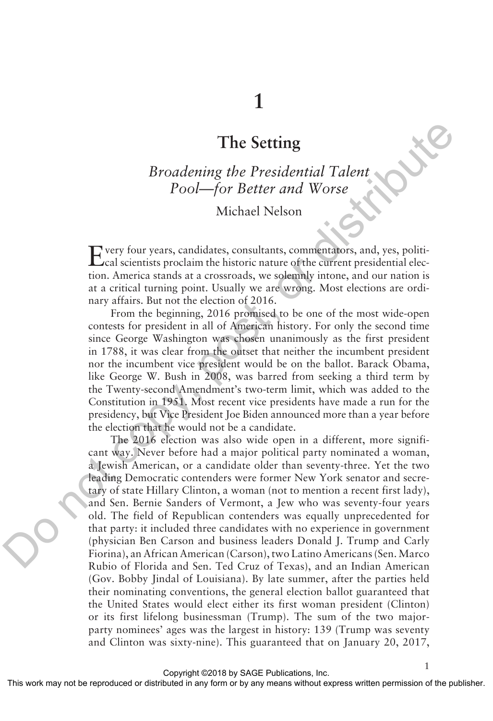# **The Setting**

*Broadening the Presidential Talent Pool—for Better and Worse*

## Michael Nelson

Every four years, candidates, consultants, commentators, and, yes, politi-cal scientists proclaim the historic nature of the current presidential election. America stands at a crossroads, we solemnly intone, and our nation is at a critical turning point. Usually we are wrong. Most elections are ordinary affairs. But not the election of 2016.

From the beginning, 2016 promised to be one of the most wide-open contests for president in all of American history. For only the second time since George Washington was chosen unanimously as the first president in 1788, it was clear from the outset that neither the incumbent president nor the incumbent vice president would be on the ballot. Barack Obama, like George W. Bush in 2008, was barred from seeking a third term by the Twenty-second Amendment's two-term limit, which was added to the Constitution in 1951. Most recent vice presidents have made a run for the presidency, but Vice President Joe Biden announced more than a year before the election that he would not be a candidate.

The 2016 election was also wide open in a different, more significant way. Never before had a major political party nominated a woman, a Jewish American, or a candidate older than seventy-three. Yet the two leading Democratic contenders were former New York senator and secretary of state Hillary Clinton, a woman (not to mention a recent first lady), and Sen. Bernie Sanders of Vermont, a Jew who was seventy-four years old. The field of Republican contenders was equally unprecedented for that party: it included three candidates with no experience in government (physician Ben Carson and business leaders Donald J. Trump and Carly Fiorina), an African American (Carson), two Latino Americans (Sen. Marco Rubio of Florida and Sen. Ted Cruz of Texas), and an Indian American (Gov. Bobby Jindal of Louisiana). By late summer, after the parties held their nominating conventions, the general election ballot guaranteed that the United States would elect either its first woman president (Clinton) or its first lifelong businessman (Trump). The sum of the two majorparty nominees' ages was the largest in history: 139 (Trump was seventy and Clinton was sixty-nine). This guaranteed that on January 20, 2017, The Setting<br>
Broadening the Presidential Talent<br>
Pool—for Better and Worse<br>
Nother Pool (Setting Talent and Norse<br>
Michael Nelson<br>
Do the Setting and the most consultants, commentations, and, yes, political<br>
acal scientist

Copyright ©2018 by SAGE Publications, Inc.

1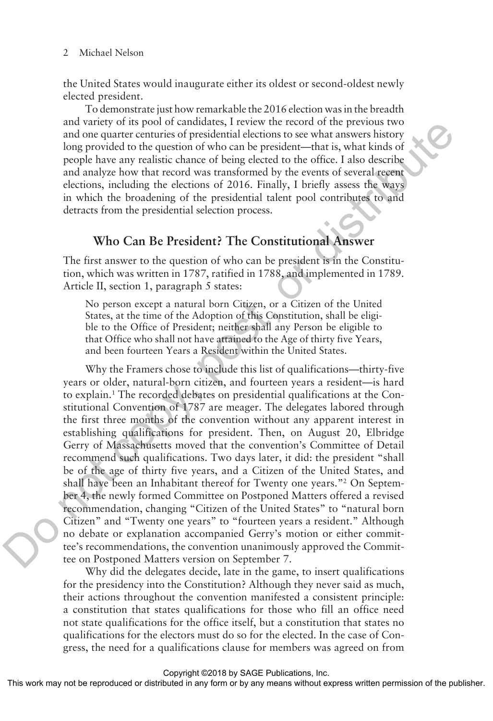#### 2 Michael Nelson

the United States would inaugurate either its oldest or second-oldest newly elected president.

To demonstrate just how remarkable the 2016 election was in the breadth and variety of its pool of candidates, I review the record of the previous two and one quarter centuries of presidential elections to see what answers history long provided to the question of who can be president—that is, what kinds of people have any realistic chance of being elected to the office. I also describe and analyze how that record was transformed by the events of several recent elections, including the elections of 2016. Finally, I briefly assess the ways in which the broadening of the presidential talent pool contributes to and detracts from the presidential selection process.

### **Who Can Be President? The Constitutional Answer**

The first answer to the question of who can be president is in the Constitution, which was written in 1787, ratified in 1788, and implemented in 1789. Article II, section 1, paragraph 5 states:

No person except a natural born Citizen, or a Citizen of the United States, at the time of the Adoption of this Constitution, shall be eligible to the Office of President; neither shall any Person be eligible to that Office who shall not have attained to the Age of thirty five Years, and been fourteen Years a Resident within the United States.

Why the Framers chose to include this list of qualifications—thirty-five years or older, natural-born citizen, and fourteen years a resident—is hard to explain.1 The recorded debates on presidential qualifications at the Constitutional Convention of 1787 are meager. The delegates labored through the first three months of the convention without any apparent interest in establishing qualifications for president. Then, on August 20, Elbridge Gerry of Massachusetts moved that the convention's Committee of Detail recommend such qualifications. Two days later, it did: the president "shall be of the age of thirty five years, and a Citizen of the United States, and shall have been an Inhabitant thereof for Twenty one years."2 On September 4, the newly formed Committee on Postponed Matters offered a revised recommendation, changing "Citizen of the United States" to "natural born Citizen" and "Twenty one years" to "fourteen years a resident." Although no debate or explanation accompanied Gerry's motion or either committee's recommendations, the convention unanimously approved the Committee on Postponed Matters version on September 7. and variety of its polo or canonates, a free them one feedboot and polonical and one quarter centuries of presidential decitors to see what answers history<br>long provided to the question of who can be president-that they w

Why did the delegates decide, late in the game, to insert qualifications for the presidency into the Constitution? Although they never said as much, their actions throughout the convention manifested a consistent principle: a constitution that states qualifications for those who fill an office need not state qualifications for the office itself, but a constitution that states no qualifications for the electors must do so for the elected. In the case of Congress, the need for a qualifications clause for members was agreed on from

Copyright ©2018 by SAGE Publications, Inc.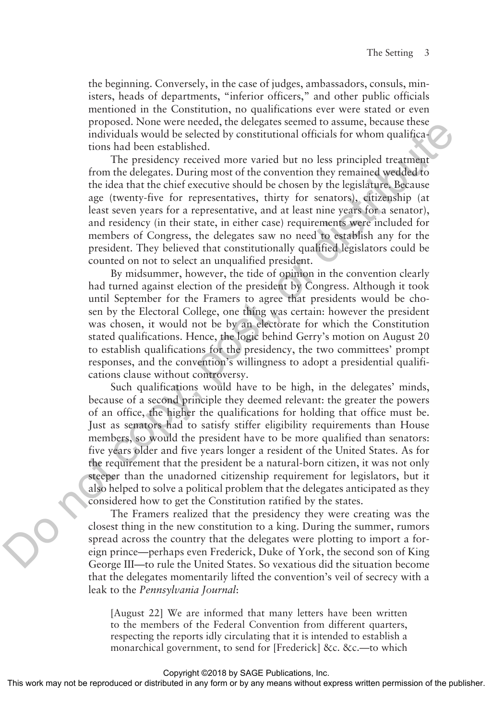the beginning. Conversely, in the case of judges, ambassadors, consuls, ministers, heads of departments, "inferior officers," and other public officials mentioned in the Constitution, no qualifications ever were stated or even proposed. None were needed, the delegates seemed to assume, because these individuals would be selected by constitutional officials for whom qualifications had been established.

The presidency received more varied but no less principled treatment from the delegates. During most of the convention they remained wedded to the idea that the chief executive should be chosen by the legislature. Because age (twenty-five for representatives, thirty for senators), citizenship (at least seven years for a representative, and at least nine years for a senator), and residency (in their state, in either case) requirements were included for members of Congress, the delegates saw no need to establish any for the president. They believed that constitutionally qualified legislators could be counted on not to select an unqualified president.

By midsummer, however, the tide of opinion in the convention clearly had turned against election of the president by Congress. Although it took until September for the Framers to agree that presidents would be chosen by the Electoral College, one thing was certain: however the president was chosen, it would not be by an electorate for which the Constitution stated qualifications. Hence, the logic behind Gerry's motion on August 20 to establish qualifications for the presidency, the two committees' prompt responses, and the convention's willingness to adopt a presidential qualifications clause without controversy.

Such qualifications would have to be high, in the delegates' minds, because of a second principle they deemed relevant: the greater the powers of an office, the higher the qualifications for holding that office must be. Just as senators had to satisfy stiffer eligibility requirements than House members, so would the president have to be more qualified than senators: five years older and five years longer a resident of the United States. As for the requirement that the president be a natural-born citizen, it was not only steeper than the unadorned citizenship requirement for legislators, but it also helped to solve a political problem that the delegates anticipated as they considered how to get the Constitution ratified by the states. proposa. None were been<br>elected the one place as energet seemel to assume the constrained by constructional of<br>Finds for whom qualitiests. Then best showed been estimated more varied but no less principled treatment<br>from

The Framers realized that the presidency they were creating was the closest thing in the new constitution to a king. During the summer, rumors spread across the country that the delegates were plotting to import a foreign prince—perhaps even Frederick, Duke of York, the second son of King George III—to rule the United States. So vexatious did the situation become that the delegates momentarily lifted the convention's veil of secrecy with a leak to the *Pennsylvania Journal*:

[August 22] We are informed that many letters have been written to the members of the Federal Convention from different quarters, respecting the reports idly circulating that it is intended to establish a monarchical government, to send for [Frederick] &c. &c.—to which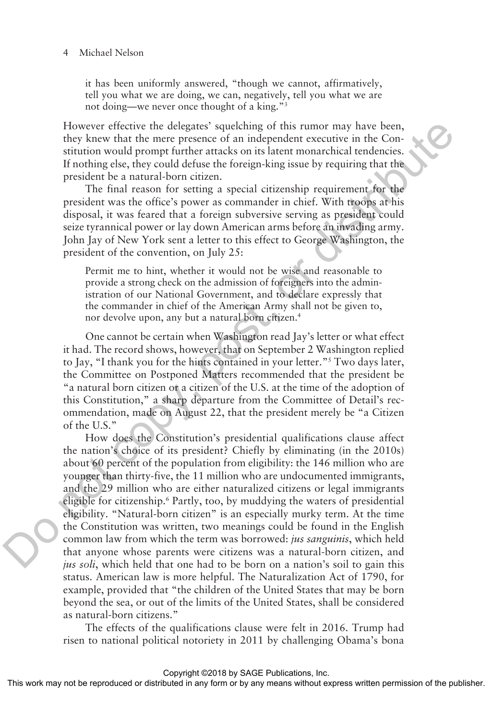#### Michael Nelson

it has been uniformly answered, "though we cannot, affirmatively, tell you what we are doing, we can, negatively, tell you what we are not doing—we never once thought of a king."3

However effective the delegates' squelching of this rumor may have been, they knew that the mere presence of an independent executive in the Constitution would prompt further attacks on its latent monarchical tendencies. If nothing else, they could defuse the foreign-king issue by requiring that the president be a natural-born citizen.

The final reason for setting a special citizenship requirement for the president was the office's power as commander in chief. With troops at his disposal, it was feared that a foreign subversive serving as president could seize tyrannical power or lay down American arms before an invading army. John Jay of New York sent a letter to this effect to George Washington, the president of the convention, on July 25:

Permit me to hint, whether it would not be wise and reasonable to provide a strong check on the admission of foreigners into the administration of our National Government, and to declare expressly that the commander in chief of the American Army shall not be given to, nor devolve upon, any but a natural born citizen.4

One cannot be certain when Washington read Jay's letter or what effect it had. The record shows, however, that on September 2 Washington replied to Jay, "I thank you for the hints contained in your letter."5 Two days later, the Committee on Postponed Matters recommended that the president be "a natural born citizen or a citizen of the U.S. at the time of the adoption of this Constitution," a sharp departure from the Committee of Detail's recommendation, made on August 22, that the president merely be "a Citizen of the U.S."

How does the Constitution's presidential qualifications clause affect the nation's choice of its president? Chiefly by eliminating (in the 2010s) about 60 percent of the population from eligibility: the 146 million who are younger than thirty-five, the 11 million who are undocumented immigrants, and the 29 million who are either naturalized citizens or legal immigrants eligible for citizenship.<sup>6</sup> Partly, too, by muddying the waters of presidential eligibility. "Natural-born citizen" is an especially murky term. At the time the Constitution was written, two meanings could be found in the English common law from which the term was borrowed: *jus sanguinis*, which held that anyone whose parents were citizens was a natural-born citizen, and *jus soli*, which held that one had to be born on a nation's soil to gain this status. American law is more helpful. The Naturalization Act of 1790, for example, provided that "the children of the United States that may be born beyond the sea, or out of the limits of the United States, shall be considered as natural-born citizens." However effective the delegates' syatelohing of this runnor may have been,<br>those positivation would prompt further attends on its latent monarchical readences.<br>If nothing else, they could defase the foreign-king issue by

> The effects of the qualifications clause were felt in 2016. Trump had risen to national political notoriety in 2011 by challenging Obama's bona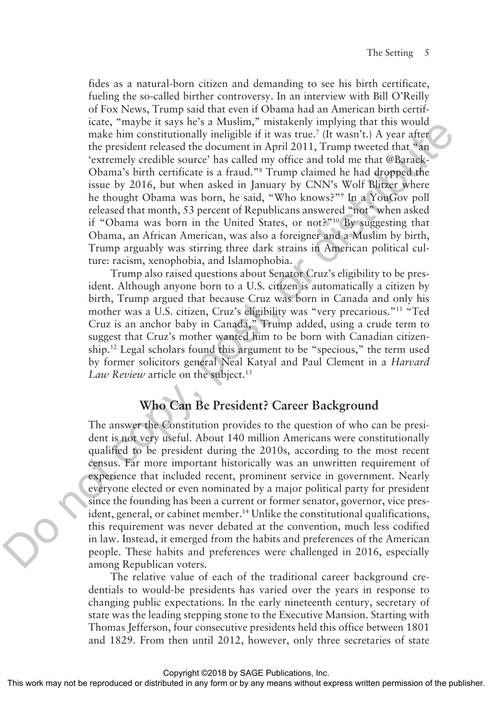fides as a natural-born citizen and demanding to see his birth certificate, fueling the so-called birther controversy. In an interview with Bill O'Reilly of Fox News, Trump said that even if Obama had an American birth certificate, "maybe it says he's a Muslim," mistakenly implying that this would make him constitutionally ineligible if it was true.<sup>7</sup> (It wasn't.) A year after the president released the document in April 2011, Trump tweeted that "an 'extremely credible source' has called my office and told me that @Barack-Obama's birth certificate is a fraud."8 Trump claimed he had dropped the issue by 2016, but when asked in January by CNN's Wolf Blitzer where he thought Obama was born, he said, "Who knows?"9 In a YouGov poll released that month, 53 percent of Republicans answered "not" when asked if "Obama was born in the United States, or not?"10 By suggesting that Obama, an African American, was also a foreigner and a Muslim by birth, Trump arguably was stirring three dark strains in American political culture: racism, xenophobia, and Islamophobia.

Trump also raised questions about Senator Cruz's eligibility to be president. Although anyone born to a U.S. citizen is automatically a citizen by birth, Trump argued that because Cruz was born in Canada and only his mother was a U.S. citizen, Cruz's eligibility was "very precarious."11 "Ted Cruz is an anchor baby in Canada," Trump added, using a crude term to suggest that Cruz's mother wanted him to be born with Canadian citizenship.12 Legal scholars found this argument to be "specious," the term used by former solicitors general Neal Katyal and Paul Clement in a *Harvard*  Law Review article on the subject.<sup>13</sup>

## **Who Can Be President? Career Background**

The answer the Constitution provides to the question of who can be president is not very useful. About 140 million Americans were constitutionally qualified to be president during the 2010s, according to the most recent census. Far more important historically was an unwritten requirement of experience that included recent, prominent service in government. Nearly everyone elected or even nominated by a major political party for president since the founding has been a current or former senator, governor, vice president, general, or cabinet member.<sup>14</sup> Unlike the constitutional qualifications, this requirement was never debated at the convention, much less codified in law. Instead, it emerged from the habits and preferences of the American people. These habits and preferences were challenged in 2016, especially among Republican voters. icial, may be tas a test in the symmally, missionery implying that this would<br>note that the president relaxation and the product of the president relaxation of the symmal content in the symmal content in the symmal conten

> The relative value of each of the traditional career background credentials to would-be presidents has varied over the years in response to changing public expectations. In the early nineteenth century, secretary of state was the leading stepping stone to the Executive Mansion. Starting with Thomas Jefferson, four consecutive presidents held this office between 1801 and 1829. From then until 2012, however, only three secretaries of state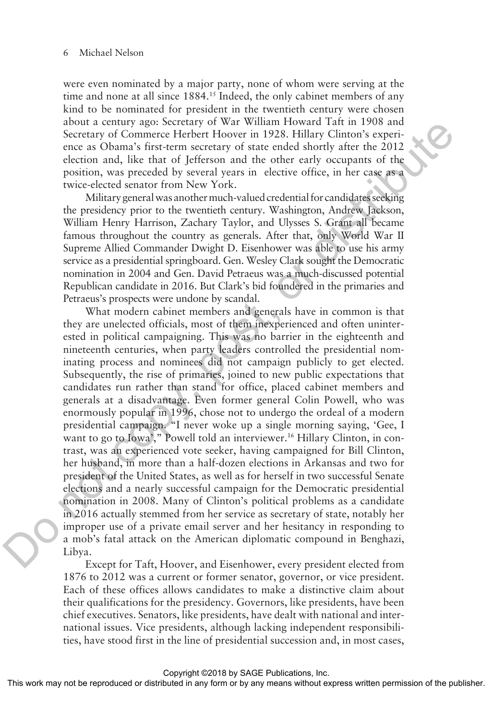were even nominated by a major party, none of whom were serving at the time and none at all since 1884.<sup>15</sup> Indeed, the only cabinet members of any kind to be nominated for president in the twentieth century were chosen about a century ago: Secretary of War William Howard Taft in 1908 and Secretary of Commerce Herbert Hoover in 1928. Hillary Clinton's experience as Obama's first-term secretary of state ended shortly after the 2012 election and, like that of Jefferson and the other early occupants of the position, was preceded by several years in elective office, in her case as a twice-elected senator from New York.

Military general was another much-valued credential for candidates seeking the presidency prior to the twentieth century. Washington, Andrew Jackson, William Henry Harrison, Zachary Taylor, and Ulysses S. Grant all became famous throughout the country as generals. After that, only World War II Supreme Allied Commander Dwight D. Eisenhower was able to use his army service as a presidential springboard. Gen. Wesley Clark sought the Democratic nomination in 2004 and Gen. David Petraeus was a much-discussed potential Republican candidate in 2016. But Clark's bid foundered in the primaries and Petraeus's prospects were undone by scandal.

What modern cabinet members and generals have in common is that they are unelected officials, most of them inexperienced and often uninterested in political campaigning. This was no barrier in the eighteenth and nineteenth centuries, when party leaders controlled the presidential nominating process and nominees did not campaign publicly to get elected. Subsequently, the rise of primaries, joined to new public expectations that candidates run rather than stand for office, placed cabinet members and generals at a disadvantage. Even former general Colin Powell, who was enormously popular in 1996, chose not to undergo the ordeal of a modern presidential campaign. "I never woke up a single morning saying, 'Gee, I want to go to Iowa'," Powell told an interviewer.<sup>16</sup> Hillary Clinton, in contrast, was an experienced vote seeker, having campaigned for Bill Clinton, her husband, in more than a half-dozen elections in Arkansas and two for president of the United States, as well as for herself in two successful Senate elections and a nearly successful campaign for the Democratic presidential nomination in 2008. Many of Clinton's political problems as a candidate in 2016 actually stemmed from her service as secretary of state, notably her improper use of a private email server and her hesitancy in responding to a mob's fatal attack on the American diplomatic compound in Benghazi, Libya. about a century agois secretary on Wav Warstin Tatoward rate in 1993, experience as channels first-term excertary of Commerce Herbert Hoover in 1928. Hillary Climton's experience as Obama's first-term accretizy of state co

Except for Taft, Hoover, and Eisenhower, every president elected from 1876 to 2012 was a current or former senator, governor, or vice president. Each of these offices allows candidates to make a distinctive claim about their qualifications for the presidency. Governors, like presidents, have been chief executives. Senators, like presidents, have dealt with national and international issues. Vice presidents, although lacking independent responsibilities, have stood first in the line of presidential succession and, in most cases,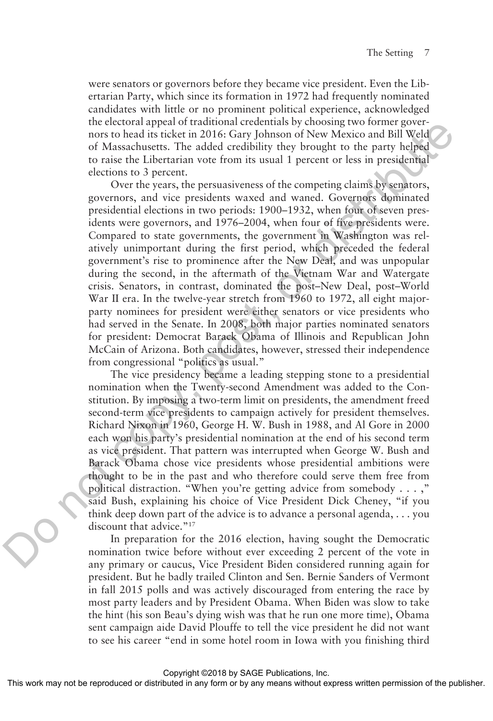were senators or governors before they became vice president. Even the Libertarian Party, which since its formation in 1972 had frequently nominated candidates with little or no prominent political experience, acknowledged the electoral appeal of traditional credentials by choosing two former governors to head its ticket in 2016: Gary Johnson of New Mexico and Bill Weld of Massachusetts. The added credibility they brought to the party helped to raise the Libertarian vote from its usual 1 percent or less in presidential elections to 3 percent.

Over the years, the persuasiveness of the competing claims by senators, governors, and vice presidents waxed and waned. Governors dominated presidential elections in two periods: 1900–1932, when four of seven presidents were governors, and 1976–2004, when four of five presidents were. Compared to state governments, the government in Washington was relatively unimportant during the first period, which preceded the federal government's rise to prominence after the New Deal, and was unpopular during the second, in the aftermath of the Vietnam War and Watergate crisis. Senators, in contrast, dominated the post–New Deal, post–World War II era. In the twelve-year stretch from 1960 to 1972, all eight majorparty nominees for president were either senators or vice presidents who had served in the Senate. In 2008, both major parties nominated senators for president: Democrat Barack Obama of Illinois and Republican John McCain of Arizona. Both candidates, however, stressed their independence from congressional "politics as usual." Interestorial appear of transmision contents are considerably that the positive of Mascharets. The added recolubing the positive by the part help for the sacket in 2016: Gary Johnson of New Mexico and Bill Weld of Maschar

The vice presidency became a leading stepping stone to a presidential nomination when the Twenty-second Amendment was added to the Constitution. By imposing a two-term limit on presidents, the amendment freed second-term vice presidents to campaign actively for president themselves. Richard Nixon in 1960, George H. W. Bush in 1988, and Al Gore in 2000 each won his party's presidential nomination at the end of his second term as vice president. That pattern was interrupted when George W. Bush and Barack Obama chose vice presidents whose presidential ambitions were thought to be in the past and who therefore could serve them free from political distraction. "When you're getting advice from somebody . . . ," said Bush, explaining his choice of Vice President Dick Cheney, "if you think deep down part of the advice is to advance a personal agenda, . . . you discount that advice."<sup>17</sup>

In preparation for the 2016 election, having sought the Democratic nomination twice before without ever exceeding 2 percent of the vote in any primary or caucus, Vice President Biden considered running again for president. But he badly trailed Clinton and Sen. Bernie Sanders of Vermont in fall 2015 polls and was actively discouraged from entering the race by most party leaders and by President Obama. When Biden was slow to take the hint (his son Beau's dying wish was that he run one more time), Obama sent campaign aide David Plouffe to tell the vice president he did not want to see his career "end in some hotel room in Iowa with you finishing third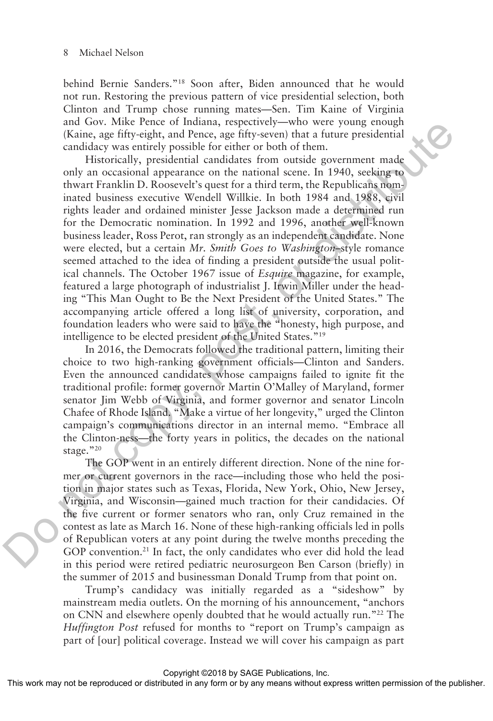behind Bernie Sanders."18 Soon after, Biden announced that he would not run. Restoring the previous pattern of vice presidential selection, both Clinton and Trump chose running mates—Sen. Tim Kaine of Virginia and Gov. Mike Pence of Indiana, respectively—who were young enough (Kaine, age fifty-eight, and Pence, age fifty-seven) that a future presidential candidacy was entirely possible for either or both of them.

Historically, presidential candidates from outside government made only an occasional appearance on the national scene. In 1940, seeking to thwart Franklin D. Roosevelt's quest for a third term, the Republicans nominated business executive Wendell Willkie. In both 1984 and 1988, civil rights leader and ordained minister Jesse Jackson made a determined run for the Democratic nomination. In 1992 and 1996, another well-known business leader, Ross Perot, ran strongly as an independent candidate. None were elected, but a certain *Mr. Smith Goes to Washington*–style romance seemed attached to the idea of finding a president outside the usual political channels. The October 1967 issue of *Esquire* magazine, for example, featured a large photograph of industrialist J. Irwin Miller under the heading "This Man Ought to Be the Next President of the United States." The accompanying article offered a long list of university, corporation, and foundation leaders who were said to have the "honesty, high purpose, and intelligence to be elected president of the United States."19 and vooi, same fertie or including, respectively—wind were young enoughly and painting (Kaine, age fifty-septh, and Penec, age fifty-several that a future presidential<br>candidary was entrely posside for either or both of t

In 2016, the Democrats followed the traditional pattern, limiting their choice to two high-ranking government officials—Clinton and Sanders. Even the announced candidates whose campaigns failed to ignite fit the traditional profile: former governor Martin O'Malley of Maryland, former senator Jim Webb of Virginia, and former governor and senator Lincoln Chafee of Rhode Island. "Make a virtue of her longevity," urged the Clinton campaign's communications director in an internal memo. "Embrace all the Clinton-ness—the forty years in politics, the decades on the national stage."20

The GOP went in an entirely different direction. None of the nine former or current governors in the race—including those who held the position in major states such as Texas, Florida, New York, Ohio, New Jersey, Virginia, and Wisconsin—gained much traction for their candidacies. Of the five current or former senators who ran, only Cruz remained in the contest as late as March 16. None of these high-ranking officials led in polls of Republican voters at any point during the twelve months preceding the GOP convention.<sup>21</sup> In fact, the only candidates who ever did hold the lead in this period were retired pediatric neurosurgeon Ben Carson (briefly) in the summer of 2015 and businessman Donald Trump from that point on.

Trump's candidacy was initially regarded as a "sideshow" by mainstream media outlets. On the morning of his announcement, "anchors on CNN and elsewhere openly doubted that he would actually run."22 The *Huffington Post* refused for months to "report on Trump's campaign as part of [our] political coverage. Instead we will cover his campaign as part

Copyright ©2018 by SAGE Publications, Inc.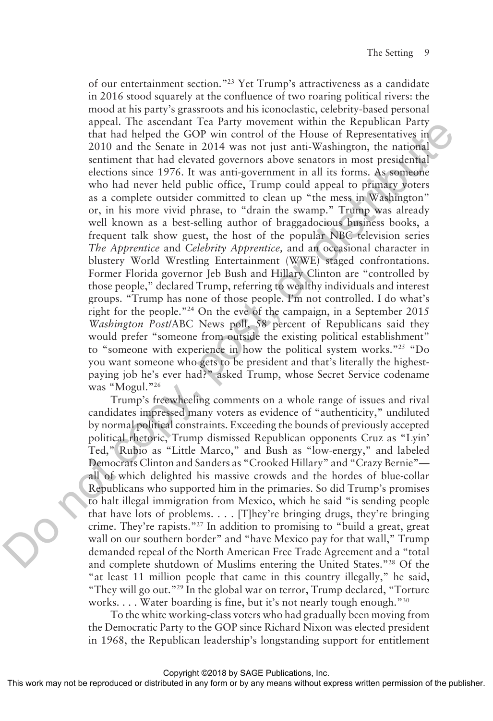of our entertainment section."23 Yet Trump's attractiveness as a candidate in 2016 stood squarely at the confluence of two roaring political rivers: the mood at his party's grassroots and his iconoclastic, celebrity-based personal appeal. The ascendant Tea Party movement within the Republican Party that had helped the GOP win control of the House of Representatives in 2010 and the Senate in 2014 was not just anti-Washington, the national sentiment that had elevated governors above senators in most presidential elections since 1976. It was anti-government in all its forms. As someone who had never held public office, Trump could appeal to primary voters as a complete outsider committed to clean up "the mess in Washington" or, in his more vivid phrase, to "drain the swamp." Trump was already well known as a best-selling author of braggadocious business books, a frequent talk show guest, the host of the popular NBC television series *The Apprentice* and *Celebrity Apprentice,* and an occasional character in blustery World Wrestling Entertainment (WWE) staged confrontations. Former Florida governor Jeb Bush and Hillary Clinton are "controlled by those people," declared Trump, referring to wealthy individuals and interest groups. "Trump has none of those people. I'm not controlled. I do what's right for the people."24 On the eve of the campaign, in a September 2015 *Washington Post*/ABC News poll, 58 percent of Republicans said they would prefer "someone from outside the existing political establishment" to "someone with experience in how the political system works."25 "Do you want someone who gets to be president and that's literally the highestpaying job he's ever had?" asked Trump, whose Secret Service codename was "Mogul."26 appear. The saccetuative ratios of Representatives in<br>that hall helped the GOP win control of the Flosue of Representatives in<br>2010 and the Srants and cleveted governors above sentators in most presidential<br>elections sinc

Trump's freewheeling comments on a whole range of issues and rival candidates impressed many voters as evidence of "authenticity," undiluted by normal political constraints. Exceeding the bounds of previously accepted political rhetoric, Trump dismissed Republican opponents Cruz as "Lyin' Ted," Rubio as "Little Marco," and Bush as "low-energy," and labeled Democrats Clinton and Sanders as "Crooked Hillary" and "Crazy Bernie" all of which delighted his massive crowds and the hordes of blue-collar Republicans who supported him in the primaries. So did Trump's promises to halt illegal immigration from Mexico, which he said "is sending people that have lots of problems. . . . [T]hey're bringing drugs, they're bringing crime. They're rapists."27 In addition to promising to "build a great, great wall on our southern border" and "have Mexico pay for that wall," Trump demanded repeal of the North American Free Trade Agreement and a "total and complete shutdown of Muslims entering the United States."28 Of the "at least 11 million people that came in this country illegally," he said, "They will go out."29 In the global war on terror, Trump declared, "Torture works. . . . Water boarding is fine, but it's not nearly tough enough."<sup>30</sup>

To the white working-class voters who had gradually been moving from the Democratic Party to the GOP since Richard Nixon was elected president in 1968, the Republican leadership's longstanding support for entitlement

Copyright ©2018 by SAGE Publications, Inc.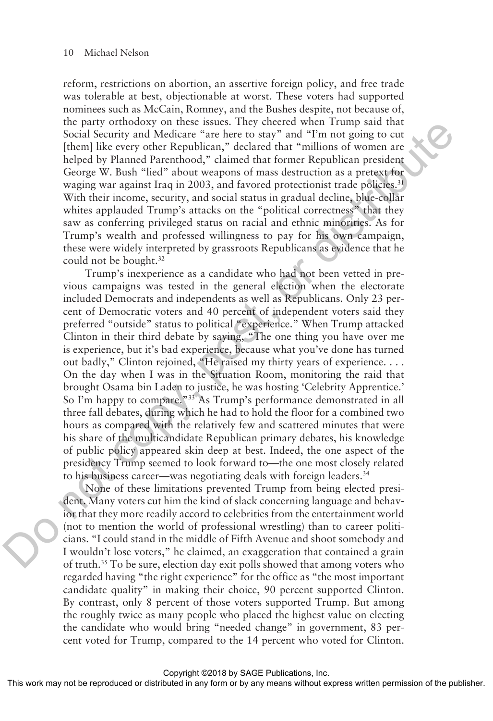reform, restrictions on abortion, an assertive foreign policy, and free trade was tolerable at best, objectionable at worst. These voters had supported nominees such as McCain, Romney, and the Bushes despite, not because of, the party orthodoxy on these issues. They cheered when Trump said that Social Security and Medicare "are here to stay" and "I'm not going to cut [them] like every other Republican," declared that "millions of women are helped by Planned Parenthood," claimed that former Republican president George W. Bush "lied" about weapons of mass destruction as a pretext for waging war against Iraq in 2003, and favored protectionist trade policies.<sup>31</sup> With their income, security, and social status in gradual decline, blue-collar whites applauded Trump's attacks on the "political correctness" that they saw as conferring privileged status on racial and ethnic minorities. As for Trump's wealth and professed willingness to pay for his own campaign, these were widely interpreted by grassroots Republicans as evidence that he could not be bought.<sup>32</sup>

Trump's inexperience as a candidate who had not been vetted in previous campaigns was tested in the general election when the electorate included Democrats and independents as well as Republicans. Only 23 percent of Democratic voters and 40 percent of independent voters said they preferred "outside" status to political "experience." When Trump attacked Clinton in their third debate by saying, "The one thing you have over me is experience, but it's bad experience, because what you've done has turned out badly," Clinton rejoined, "He raised my thirty years of experience. . . . On the day when I was in the Situation Room, monitoring the raid that brought Osama bin Laden to justice, he was hosting 'Celebrity Apprentice.' So I'm happy to compare."<sup>33</sup> As Trump's performance demonstrated in all three fall debates, during which he had to hold the floor for a combined two hours as compared with the relatively few and scattered minutes that were his share of the multicandidate Republican primary debates, his knowledge of public policy appeared skin deep at best. Indeed, the one aspect of the presidency Trump seemed to look forward to—the one most closely related to his business career—was negotiating deals with foreign leaders.<sup>34</sup> the party of<br>thoseoly on these issues. In eye merets with retunning sate that<br>there is sagred with the stering theory of the Republican  $\gamma^*$  declared that "millions of vontern are<br>pheopled by Planand Parenthood," claime

None of these limitations prevented Trump from being elected president. Many voters cut him the kind of slack concerning language and behavior that they more readily accord to celebrities from the entertainment world (not to mention the world of professional wrestling) than to career politicians. "I could stand in the middle of Fifth Avenue and shoot somebody and I wouldn't lose voters," he claimed, an exaggeration that contained a grain of truth.35 To be sure, election day exit polls showed that among voters who regarded having "the right experience" for the office as "the most important candidate quality" in making their choice, 90 percent supported Clinton. By contrast, only 8 percent of those voters supported Trump. But among the roughly twice as many people who placed the highest value on electing the candidate who would bring "needed change" in government, 83 percent voted for Trump, compared to the 14 percent who voted for Clinton.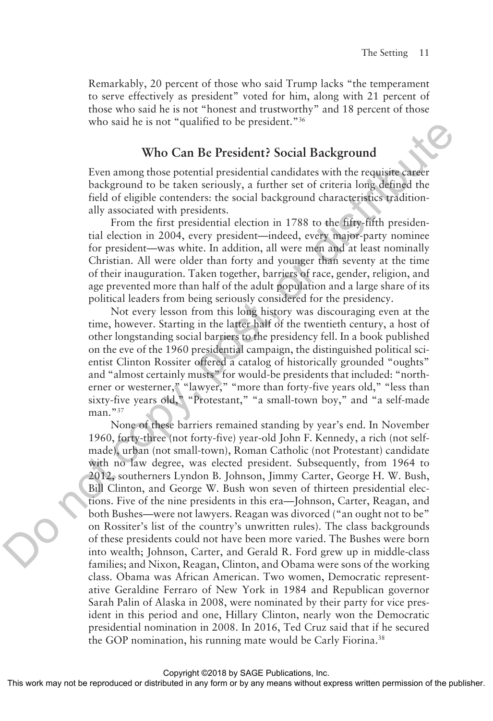Remarkably, 20 percent of those who said Trump lacks "the temperament to serve effectively as president" voted for him, along with 21 percent of those who said he is not "honest and trustworthy" and 18 percent of those who said he is not "qualified to be president."<sup>36</sup>

### **Who Can Be President? Social Background**

Even among those potential presidential candidates with the requisite career background to be taken seriously, a further set of criteria long defined the field of eligible contenders: the social background characteristics traditionally associated with presidents.

From the first presidential election in 1788 to the fifty-fifth presidential election in 2004, every president—indeed, every major-party nominee for president—was white. In addition, all were men and at least nominally Christian. All were older than forty and younger than seventy at the time of their inauguration. Taken together, barriers of race, gender, religion, and age prevented more than half of the adult population and a large share of its political leaders from being seriously considered for the presidency.

Not every lesson from this long history was discouraging even at the time, however. Starting in the latter half of the twentieth century, a host of other longstanding social barriers to the presidency fell. In a book published on the eve of the 1960 presidential campaign, the distinguished political scientist Clinton Rossiter offered a catalog of historically grounded "oughts" and "almost certainly musts" for would-be presidents that included: "northerner or westerner," "lawyer," "more than forty-five years old," "less than sixty-five years old," "Protestant," "a small-town boy," and "a self-made man."<sup>37</sup>

None of these barriers remained standing by year's end. In November 1960, forty-three (not forty-five) year-old John F. Kennedy, a rich (not selfmade), urban (not small-town), Roman Catholic (not Protestant) candidate with no law degree, was elected president. Subsequently, from 1964 to 2012, southerners Lyndon B. Johnson, Jimmy Carter, George H. W. Bush, Bill Clinton, and George W. Bush won seven of thirteen presidential elections. Five of the nine presidents in this era—Johnson, Carter, Reagan, and both Bushes—were not lawyers. Reagan was divorced ("an ought not to be" on Rossiter's list of the country's unwritten rules). The class backgrounds of these presidents could not have been more varied. The Bushes were born into wealth; Johnson, Carter, and Gerald R. Ford grew up in middle-class families; and Nixon, Reagan, Clinton, and Obama were sons of the working class. Obama was African American. Two women, Democratic representative Geraldine Ferraro of New York in 1984 and Republican governor Sarah Palin of Alaska in 2008, were nominated by their party for vice president in this period and one, Hillary Clinton, nearly won the Democratic presidential nomination in 2008. In 2016, Ted Cruz said that if he secured the GOP nomination, his running mate would be Carly Fiorina.<sup>38</sup> who sain ne is not quanned to be pressident.<br> **EVen among those control specified the actival Background**<br> **EVen among those posterial presidents** reading the control beaching the requisite control<br>
For the field of eligi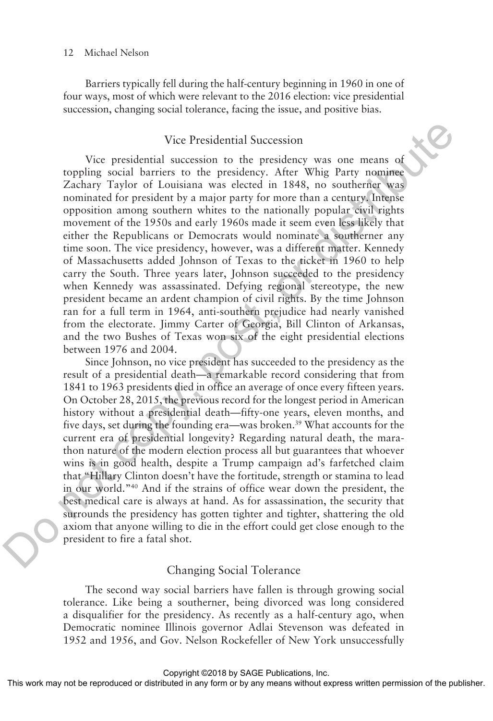Barriers typically fell during the half-century beginning in 1960 in one of four ways, most of which were relevant to the 2016 election: vice presidential succession, changing social tolerance, facing the issue, and positive bias.

#### Vice Presidential Succession

Vice presidential succession to the presidency was one means of toppling social barriers to the presidency. After Whig Party nominee Zachary Taylor of Louisiana was elected in 1848, no southerner was nominated for president by a major party for more than a century. Intense opposition among southern whites to the nationally popular civil rights movement of the 1950s and early 1960s made it seem even less likely that either the Republicans or Democrats would nominate a southerner any time soon. The vice presidency, however, was a different matter. Kennedy of Massachusetts added Johnson of Texas to the ticket in 1960 to help carry the South. Three years later, Johnson succeeded to the presidency when Kennedy was assassinated. Defying regional stereotype, the new president became an ardent champion of civil rights. By the time Johnson ran for a full term in 1964, anti-southern prejudice had nearly vanished from the electorate. Jimmy Carter of Georgia, Bill Clinton of Arkansas, and the two Bushes of Texas won six of the eight presidential elections between 1976 and 2004. Vice Presidential Succession<br>
voice presidential succession to the presidency was one means of<br>
coppling social barries to the presidency. After Wig Party political<br>
cominated or presidence and a compression of the contro

Since Johnson, no vice president has succeeded to the presidency as the result of a presidential death—a remarkable record considering that from 1841 to 1963 presidents died in office an average of once every fifteen years. On October 28, 2015, the previous record for the longest period in American history without a presidential death—fifty-one years, eleven months, and five days, set during the founding era—was broken.39 What accounts for the current era of presidential longevity? Regarding natural death, the marathon nature of the modern election process all but guarantees that whoever wins is in good health, despite a Trump campaign ad's farfetched claim that "Hillary Clinton doesn't have the fortitude, strength or stamina to lead in our world."40 And if the strains of office wear down the president, the best medical care is always at hand. As for assassination, the security that surrounds the presidency has gotten tighter and tighter, shattering the old axiom that anyone willing to die in the effort could get close enough to the president to fire a fatal shot.

#### Changing Social Tolerance

The second way social barriers have fallen is through growing social tolerance. Like being a southerner, being divorced was long considered a disqualifier for the presidency. As recently as a half-century ago, when Democratic nominee Illinois governor Adlai Stevenson was defeated in 1952 and 1956, and Gov. Nelson Rockefeller of New York unsuccessfully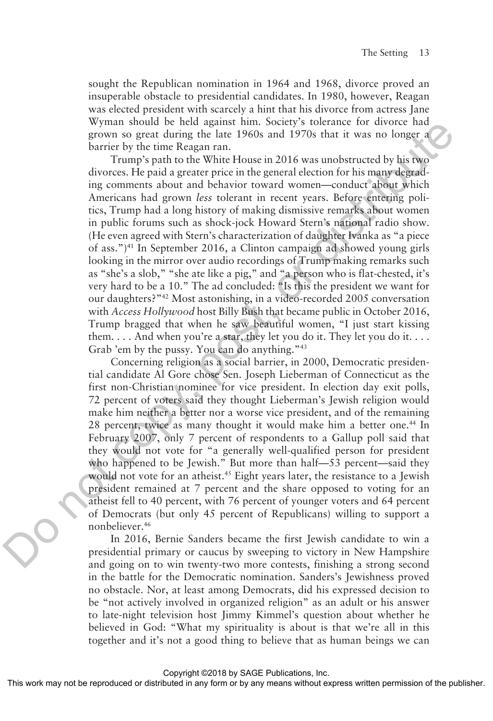sought the Republican nomination in 1964 and 1968, divorce proved an insuperable obstacle to presidential candidates. In 1980, however, Reagan was elected president with scarcely a hint that his divorce from actress Jane Wyman should be held against him. Society's tolerance for divorce had grown so great during the late 1960s and 1970s that it was no longer a barrier by the time Reagan ran.

Trump's path to the White House in 2016 was unobstructed by his two divorces. He paid a greater price in the general election for his many degrading comments about and behavior toward women—conduct about which Americans had grown *less* tolerant in recent years. Before entering politics, Trump had a long history of making dismissive remarks about women in public forums such as shock-jock Howard Stern's national radio show. (He even agreed with Stern's characterization of daughter Ivanka as "a piece of ass.")41 In September 2016, a Clinton campaign ad showed young girls looking in the mirror over audio recordings of Trump making remarks such as "she's a slob," "she ate like a pig," and "a person who is flat-chested, it's very hard to be a 10." The ad concluded: "Is this the president we want for our daughters?"42 Most astonishing, in a video-recorded 2005 conversation with *Access Hollywood* host Billy Bush that became public in October 2016, Trump bragged that when he saw beautiful women, "I just start kissing them. . . . And when you're a star, they let you do it. They let you do it. . . . Grab 'em by the pussy. You can do anything."43 Wyman solute de neu aggaruns, non-<br>
grown so great during the late 1960s and 1970s that it was no longer a<br>
barrier by the time Reagan ran,<br>
barrier by the constructed by his two<br>
diverses. He paid a greater price in the

Concerning religion as a social barrier, in 2000, Democratic presidential candidate Al Gore chose Sen. Joseph Lieberman of Connecticut as the first non-Christian nominee for vice president. In election day exit polls, 72 percent of voters said they thought Lieberman's Jewish religion would make him neither a better nor a worse vice president, and of the remaining 28 percent, twice as many thought it would make him a better one.<sup>44</sup> In February 2007, only 7 percent of respondents to a Gallup poll said that they would not vote for "a generally well-qualified person for president who happened to be Jewish." But more than half—53 percent—said they would not vote for an atheist.<sup>45</sup> Eight years later, the resistance to a Jewish president remained at 7 percent and the share opposed to voting for an atheist fell to 40 percent, with 76 percent of younger voters and 64 percent of Democrats (but only 45 percent of Republicans) willing to support a nonbeliever.46

In 2016, Bernie Sanders became the first Jewish candidate to win a presidential primary or caucus by sweeping to victory in New Hampshire and going on to win twenty-two more contests, finishing a strong second in the battle for the Democratic nomination. Sanders's Jewishness proved no obstacle. Nor, at least among Democrats, did his expressed decision to be "not actively involved in organized religion" as an adult or his answer to late-night television host Jimmy Kimmel's question about whether he believed in God: "What my spirituality is about is that we're all in this together and it's not a good thing to believe that as human beings we can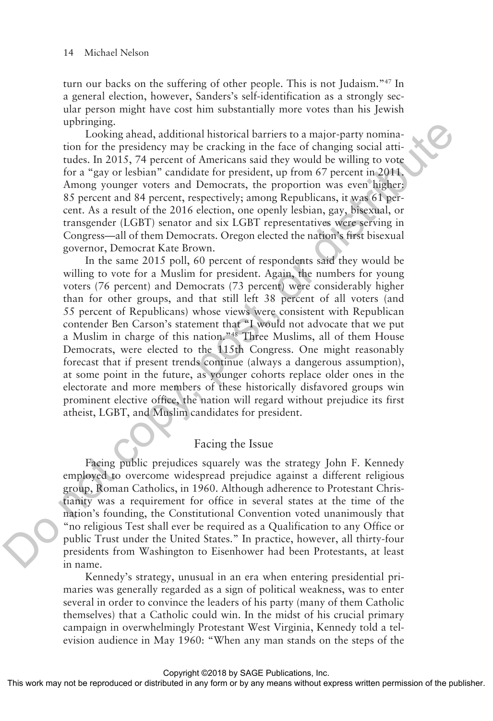turn our backs on the suffering of other people. This is not Judaism."47 In a general election, however, Sanders's self-identification as a strongly secular person might have cost him substantially more votes than his Jewish upbringing.

Looking ahead, additional historical barriers to a major-party nomination for the presidency may be cracking in the face of changing social attitudes. In 2015, 74 percent of Americans said they would be willing to vote for a "gay or lesbian" candidate for president, up from 67 percent in 2011. Among younger voters and Democrats, the proportion was even higher: 85 percent and 84 percent, respectively; among Republicans, it was 61 percent. As a result of the 2016 election, one openly lesbian, gay, bisexual, or transgender (LGBT) senator and six LGBT representatives were serving in Congress—all of them Democrats. Oregon elected the nation's first bisexual governor, Democrat Kate Brown.

In the same 2015 poll, 60 percent of respondents said they would be willing to vote for a Muslim for president. Again, the numbers for young voters (76 percent) and Democrats (73 percent) were considerably higher than for other groups, and that still left 38 percent of all voters (and 55 percent of Republicans) whose views were consistent with Republican contender Ben Carson's statement that "I would not advocate that we put a Muslim in charge of this nation."48 Three Muslims, all of them House Democrats, were elected to the 115th Congress. One might reasonably forecast that if present trends continue (always a dangerous assumption), at some point in the future, as younger cohorts replace older ones in the electorate and more members of these historically disfavored groups win prominent elective office, the nation will regard without prejudice its first atheist, LGBT, and Muslim candidates for president. moning annead, additional historical barriers to a major-party nominate<br>to for the presidency may be cracking in the face of changing social atti-<br>to note for a "gay or lesshan" candotte for the face of changing content<br>an

### Facing the Issue

Facing public prejudices squarely was the strategy John F. Kennedy employed to overcome widespread prejudice against a different religious group, Roman Catholics, in 1960. Although adherence to Protestant Christianity was a requirement for office in several states at the time of the nation's founding, the Constitutional Convention voted unanimously that "no religious Test shall ever be required as a Qualification to any Office or public Trust under the United States." In practice, however, all thirty-four presidents from Washington to Eisenhower had been Protestants, at least in name.

Kennedy's strategy, unusual in an era when entering presidential primaries was generally regarded as a sign of political weakness, was to enter several in order to convince the leaders of his party (many of them Catholic themselves) that a Catholic could win. In the midst of his crucial primary campaign in overwhelmingly Protestant West Virginia, Kennedy told a television audience in May 1960: "When any man stands on the steps of the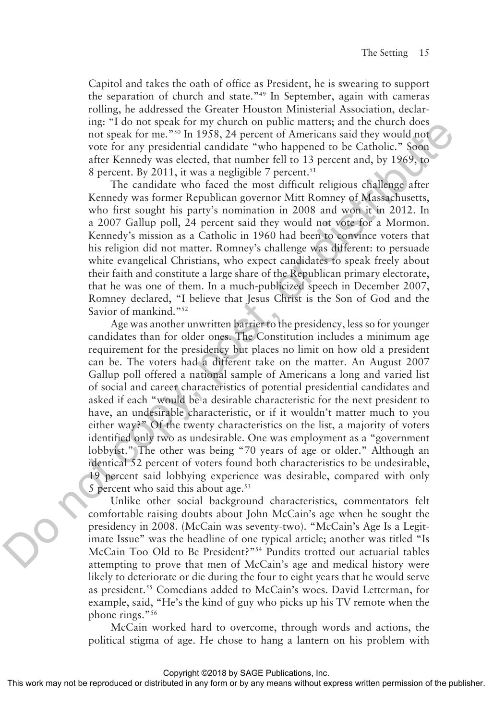Capitol and takes the oath of office as President, he is swearing to support the separation of church and state."49 In September, again with cameras rolling, he addressed the Greater Houston Ministerial Association, declaring: "I do not speak for my church on public matters; and the church does not speak for me."50 In 1958, 24 percent of Americans said they would not vote for any presidential candidate "who happened to be Catholic." Soon after Kennedy was elected, that number fell to 13 percent and, by 1969, to 8 percent. By 2011, it was a negligible 7 percent.<sup>51</sup>

The candidate who faced the most difficult religious challenge after Kennedy was former Republican governor Mitt Romney of Massachusetts, who first sought his party's nomination in 2008 and won it in 2012. In a 2007 Gallup poll, 24 percent said they would not vote for a Mormon. Kennedy's mission as a Catholic in 1960 had been to convince voters that his religion did not matter. Romney's challenge was different: to persuade white evangelical Christians, who expect candidates to speak freely about their faith and constitute a large share of the Republican primary electorate, that he was one of them. In a much-publicized speech in December 2007, Romney declared, "I believe that Jesus Christ is the Son of God and the Savior of mankind."<sup>52</sup>

Age was another unwritten barrier to the presidency, less so for younger candidates than for older ones. The Constitution includes a minimum age requirement for the presidency but places no limit on how old a president can be. The voters had a different take on the matter. An August 2007 Gallup poll offered a national sample of Americans a long and varied list of social and career characteristics of potential presidential candidates and asked if each "would be a desirable characteristic for the next president to have, an undesirable characteristic, or if it wouldn't matter much to you either way?" Of the twenty characteristics on the list, a majority of voters identified only two as undesirable. One was employment as a "government lobbyist." The other was being "70 years of age or older." Although an identical 52 percent of voters found both characteristics to be undesirable, 19 percent said lobbying experience was desirable, compared with only 5 percent who said this about age. $53$ mg: 1 ato lots opera for my function by the metric material and eccate the contrete from the president in the system and the system and the system and the system and the system of the random spectra. By 2011, it was a nei

Unlike other social background characteristics, commentators felt comfortable raising doubts about John McCain's age when he sought the presidency in 2008. (McCain was seventy-two). "McCain's Age Is a Legitimate Issue" was the headline of one typical article; another was titled "Is McCain Too Old to Be President?"54 Pundits trotted out actuarial tables attempting to prove that men of McCain's age and medical history were likely to deteriorate or die during the four to eight years that he would serve as president.55 Comedians added to McCain's woes. David Letterman, for example, said, "He's the kind of guy who picks up his TV remote when the phone rings."56

McCain worked hard to overcome, through words and actions, the political stigma of age. He chose to hang a lantern on his problem with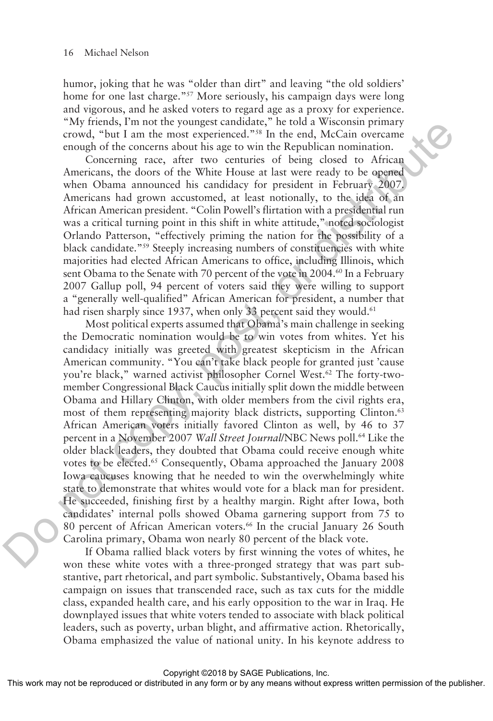humor, joking that he was "older than dirt" and leaving "the old soldiers' home for one last charge."<sup>57</sup> More seriously, his campaign days were long and vigorous, and he asked voters to regard age as a proxy for experience. "My friends, I'm not the youngest candidate," he told a Wisconsin primary crowd, "but I am the most experienced."58 In the end, McCain overcame enough of the concerns about his age to win the Republican nomination.

Concerning race, after two centuries of being closed to African Americans, the doors of the White House at last were ready to be opened when Obama announced his candidacy for president in February 2007. Americans had grown accustomed, at least notionally, to the idea of an African American president. "Colin Powell's flirtation with a presidential run was a critical turning point in this shift in white attitude," noted sociologist Orlando Patterson, "effectively priming the nation for the possibility of a black candidate."59 Steeply increasing numbers of constituencies with white majorities had elected African Americans to office, including Illinois, which sent Obama to the Senate with 70 percent of the vote in 2004.<sup>60</sup> In a February 2007 Gallup poll, 94 percent of voters said they were willing to support a "generally well-qualified" African American for president, a number that had risen sharply since 1937, when only 33 percent said they would.<sup>61</sup>

Most political experts assumed that Obama's main challenge in seeking the Democratic nomination would be to win votes from whites. Yet his candidacy initially was greeted with greatest skepticism in the African American community. "You can't take black people for granted just 'cause you're black," warned activist philosopher Cornel West.<sup>62</sup> The forty-twomember Congressional Black Caucus initially split down the middle between Obama and Hillary Clinton, with older members from the civil rights era, most of them representing majority black districts, supporting Clinton.<sup>63</sup> African American voters initially favored Clinton as well, by 46 to 37 percent in a November 2007 *Wall Street Journal*/NBC News poll.64 Like the older black leaders, they doubted that Obama could receive enough white votes to be elected.<sup>65</sup> Consequently, Obama approached the January 2008 Iowa caucuses knowing that he needed to win the overwhelmingly white state to demonstrate that whites would vote for a black man for president. He succeeded, finishing first by a healthy margin. Right after Iowa, both candidates' internal polls showed Obama garnering support from 75 to 80 percent of African American voters.<sup>66</sup> In the crucial January 26 South Carolina primary, Obama won nearly 80 percent of the black vote. any trienary<br>and van the solution the state of the state of the controlleration<br>condition in the ment sceptive condition is the state of the content<br>matrix condition is considered to the state with experimental and the<br>co

If Obama rallied black voters by first winning the votes of whites, he won these white votes with a three-pronged strategy that was part substantive, part rhetorical, and part symbolic. Substantively, Obama based his campaign on issues that transcended race, such as tax cuts for the middle class, expanded health care, and his early opposition to the war in Iraq. He downplayed issues that white voters tended to associate with black political leaders, such as poverty, urban blight, and affirmative action. Rhetorically, Obama emphasized the value of national unity. In his keynote address to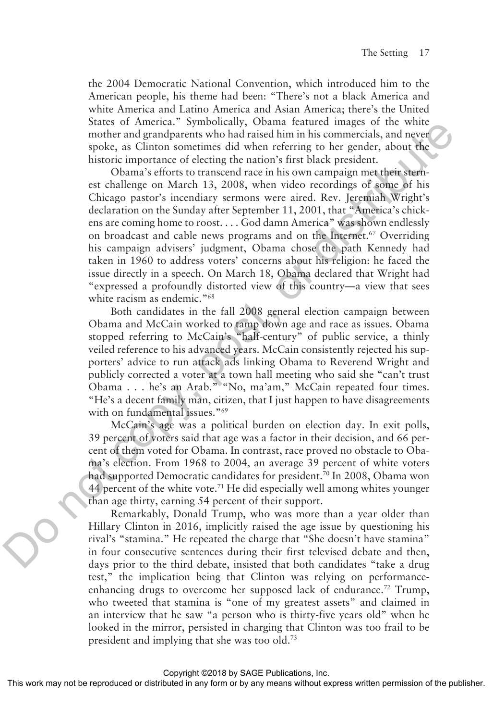the 2004 Democratic National Convention, which introduced him to the American people, his theme had been: "There's not a black America and white America and Latino America and Asian America; there's the United States of America." Symbolically, Obama featured images of the white mother and grandparents who had raised him in his commercials, and never spoke, as Clinton sometimes did when referring to her gender, about the historic importance of electing the nation's first black president.

Obama's efforts to transcend race in his own campaign met their sternest challenge on March 13, 2008, when video recordings of some of his Chicago pastor's incendiary sermons were aired. Rev. Jeremiah Wright's declaration on the Sunday after September 11, 2001, that "America's chickens are coming home to roost. . . . God damn America" was shown endlessly on broadcast and cable news programs and on the Internet.<sup>67</sup> Overriding his campaign advisers' judgment, Obama chose the path Kennedy had taken in 1960 to address voters' concerns about his religion: he faced the issue directly in a speech. On March 18, Obama declared that Wright had "expressed a profoundly distorted view of this country—a view that sees white racism as endemic."<sup>68</sup> States on America. Symbonically, Osamar leatured unigero in texture and grandparents who had ratioed him in his commercials, and never<br>spoke, as Climbute of coloring the weak of the grander, about the<br>storic importance of

Both candidates in the fall 2008 general election campaign between Obama and McCain worked to tamp down age and race as issues. Obama stopped referring to McCain's "half-century" of public service, a thinly veiled reference to his advanced years. McCain consistently rejected his supporters' advice to run attack ads linking Obama to Reverend Wright and publicly corrected a voter at a town hall meeting who said she "can't trust Obama . . . he's an Arab." "No, ma'am," McCain repeated four times. "He's a decent family man, citizen, that I just happen to have disagreements with on fundamental issues."<sup>69</sup>

McCain's age was a political burden on election day. In exit polls, 39 percent of voters said that age was a factor in their decision, and 66 percent of them voted for Obama. In contrast, race proved no obstacle to Obama's election. From 1968 to 2004, an average 39 percent of white voters had supported Democratic candidates for president.<sup>70</sup> In 2008, Obama won 44 percent of the white vote.<sup>71</sup> He did especially well among whites younger than age thirty, earning 54 percent of their support.

Remarkably, Donald Trump, who was more than a year older than Hillary Clinton in 2016, implicitly raised the age issue by questioning his rival's "stamina." He repeated the charge that "She doesn't have stamina" in four consecutive sentences during their first televised debate and then, days prior to the third debate, insisted that both candidates "take a drug test," the implication being that Clinton was relying on performanceenhancing drugs to overcome her supposed lack of endurance.<sup>72</sup> Trump, who tweeted that stamina is "one of my greatest assets" and claimed in an interview that he saw "a person who is thirty-five years old" when he looked in the mirror, persisted in charging that Clinton was too frail to be president and implying that she was too old.73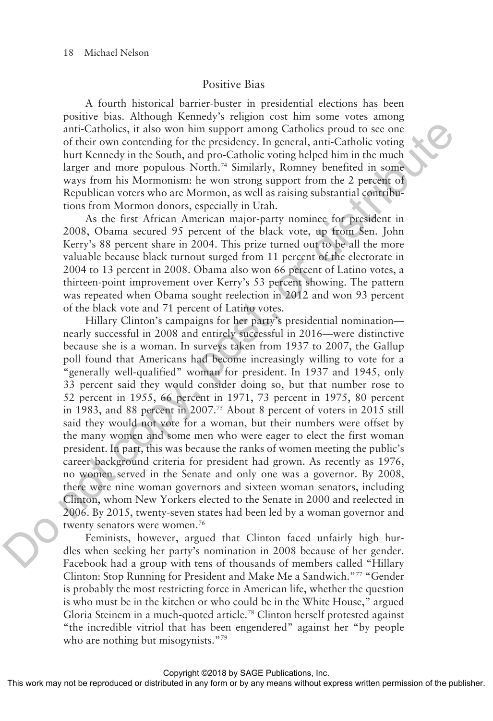### Positive Bias

A fourth historical barrier-buster in presidential elections has been positive bias. Although Kennedy's religion cost him some votes among anti-Catholics, it also won him support among Catholics proud to see one of their own contending for the presidency. In general, anti-Catholic voting hurt Kennedy in the South, and pro-Catholic voting helped him in the much larger and more populous North.<sup>74</sup> Similarly, Romney benefited in some ways from his Mormonism: he won strong support from the 2 percent of Republican voters who are Mormon, as well as raising substantial contributions from Mormon donors, especially in Utah.

As the first African American major-party nominee for president in 2008, Obama secured 95 percent of the black vote, up from Sen. John Kerry's 88 percent share in 2004. This prize turned out to be all the more valuable because black turnout surged from 11 percent of the electorate in 2004 to 13 percent in 2008. Obama also won 66 percent of Latino votes, a thirteen-point improvement over Kerry's 53 percent showing. The pattern was repeated when Obama sought reelection in 2012 and won 93 percent of the black vote and 71 percent of Latino votes.

Hillary Clinton's campaigns for her party's presidential nomination nearly successful in 2008 and entirely successful in 2016—were distinctive because she is a woman. In surveys taken from 1937 to 2007, the Gallup poll found that Americans had become increasingly willing to vote for a "generally well-qualified" woman for president. In 1937 and 1945, only 33 percent said they would consider doing so, but that number rose to 52 percent in 1955, 66 percent in 1971, 73 percent in 1975, 80 percent in 1983, and 88 percent in 2007.<sup>75</sup> About 8 percent of voters in 2015 still said they would not vote for a woman, but their numbers were offset by the many women and some men who were eager to elect the first woman president. In part, this was because the ranks of women meeting the public's career background criteria for president had grown. As recently as 1976, no women served in the Senate and only one was a governor. By 2008, there were nine woman governors and sixteen woman senators, including Clinton, whom New Yorkers elected to the Senate in 2000 and reelected in 2006. By 2015, twenty-seven states had been led by a woman governor and twenty senators were women.<sup>76</sup> anti-Catholics, it also won him suppor among Carlobics proud to see one<br>for their way controlling for the presidency. In general, anti-Catholic voring<br>hard Kembar and proc-Catholic voring that South, and proc-Catholic vor

Feminists, however, argued that Clinton faced unfairly high hurdles when seeking her party's nomination in 2008 because of her gender. Facebook had a group with tens of thousands of members called "Hillary Clinton: Stop Running for President and Make Me a Sandwich."77 "Gender is probably the most restricting force in American life, whether the question is who must be in the kitchen or who could be in the White House," argued Gloria Steinem in a much-quoted article.<sup>78</sup> Clinton herself protested against "the incredible vitriol that has been engendered" against her "by people who are nothing but misogynists."<sup>79</sup>

Copyright ©2018 by SAGE Publications, Inc.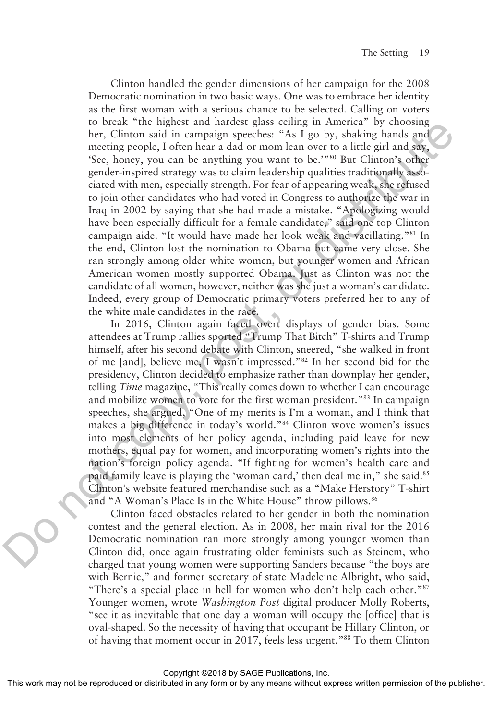Clinton handled the gender dimensions of her campaign for the 2008 Democratic nomination in two basic ways. One was to embrace her identity as the first woman with a serious chance to be selected. Calling on voters to break "the highest and hardest glass ceiling in America" by choosing her, Clinton said in campaign speeches: "As I go by, shaking hands and meeting people, I often hear a dad or mom lean over to a little girl and say, 'See, honey, you can be anything you want to be.'"80 But Clinton's other gender-inspired strategy was to claim leadership qualities traditionally associated with men, especially strength. For fear of appearing weak, she refused to join other candidates who had voted in Congress to authorize the war in Iraq in 2002 by saying that she had made a mistake. "Apologizing would have been especially difficult for a female candidate," said one top Clinton campaign aide. "It would have made her look weak and vacillating."81 In the end, Clinton lost the nomination to Obama but came very close. She ran strongly among older white women, but younger women and African American women mostly supported Obama. Just as Clinton was not the candidate of all women, however, neither was she just a woman's candidate. Indeed, every group of Democratic primary voters preferred her to any of the white male candidates in the race. to preact une mappies and nameles gass centum and in carrelation and in capping a prechable mechanic mechanic mechanic mechanic spectra (see, boney, you can be a mything you want to be."<sup>30</sup> But Clinton's orher sequelect

In 2016, Clinton again faced overt displays of gender bias. Some attendees at Trump rallies sported "Trump That Bitch" T-shirts and Trump himself, after his second debate with Clinton, sneered, "she walked in front of me [and], believe me, I wasn't impressed."82 In her second bid for the presidency, Clinton decided to emphasize rather than downplay her gender, telling *Time* magazine, "This really comes down to whether I can encourage and mobilize women to vote for the first woman president."83 In campaign speeches, she argued, "One of my merits is I'm a woman, and I think that makes a big difference in today's world."84 Clinton wove women's issues into most elements of her policy agenda, including paid leave for new mothers, equal pay for women, and incorporating women's rights into the nation's foreign policy agenda. "If fighting for women's health care and paid family leave is playing the 'woman card,' then deal me in," she said.<sup>85</sup> Clinton's website featured merchandise such as a "Make Herstory" T-shirt and "A Woman's Place Is in the White House" throw pillows.<sup>86</sup>

Clinton faced obstacles related to her gender in both the nomination contest and the general election. As in 2008, her main rival for the 2016 Democratic nomination ran more strongly among younger women than Clinton did, once again frustrating older feminists such as Steinem, who charged that young women were supporting Sanders because "the boys are with Bernie," and former secretary of state Madeleine Albright, who said, "There's a special place in hell for women who don't help each other."87 Younger women, wrote *Washington Post* digital producer Molly Roberts, "see it as inevitable that one day a woman will occupy the [office] that is oval-shaped. So the necessity of having that occupant be Hillary Clinton, or of having that moment occur in 2017, feels less urgent."88 To them Clinton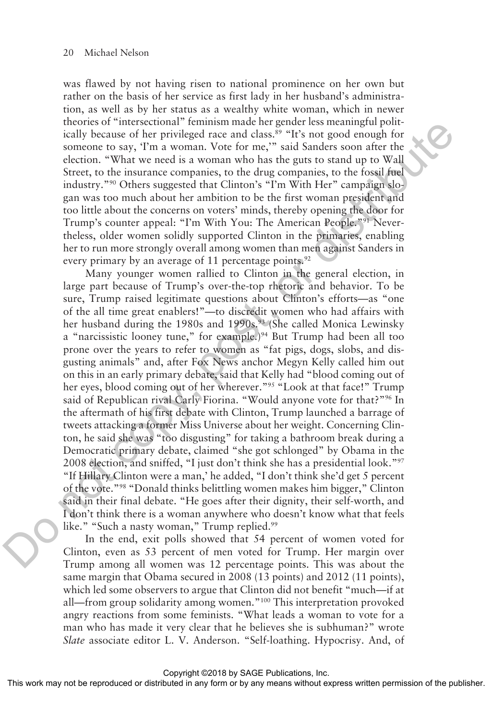was flawed by not having risen to national prominence on her own but rather on the basis of her service as first lady in her husband's administration, as well as by her status as a wealthy white woman, which in newer theories of "intersectional" feminism made her gender less meaningful politically because of her privileged race and class.<sup>89</sup> "It's not good enough for someone to say, 'I'm a woman. Vote for me,'" said Sanders soon after the election. "What we need is a woman who has the guts to stand up to Wall Street, to the insurance companies, to the drug companies, to the fossil fuel industry."90 Others suggested that Clinton's "I'm With Her" campaign slogan was too much about her ambition to be the first woman president and too little about the concerns on voters' minds, thereby opening the door for Trump's counter appeal: "I'm With You: The American People."<sup>91</sup> Nevertheless, older women solidly supported Clinton in the primaries, enabling her to run more strongly overall among women than men against Sanders in every primary by an average of 11 percentage points. $92$ 

Many younger women rallied to Clinton in the general election, in large part because of Trump's over-the-top rhetoric and behavior. To be sure, Trump raised legitimate questions about Clinton's efforts—as "one of the all time great enablers!"—to discredit women who had affairs with her husband during the 1980s and 1990s.<sup>93</sup> (She called Monica Lewinsky a "narcissistic looney tune," for example.)<sup>94</sup> But Trump had been all too prone over the years to refer to women as "fat pigs, dogs, slobs, and disgusting animals" and, after Fox News anchor Megyn Kelly called him out on this in an early primary debate, said that Kelly had "blood coming out of her eyes, blood coming out of her wherever."95 "Look at that face!" Trump said of Republican rival Carly Fiorina. "Would anyone vote for that?"<sup>96</sup> In the aftermath of his first debate with Clinton, Trump launched a barrage of tweets attacking a former Miss Universe about her weight. Concerning Clinton, he said she was "too disgusting" for taking a bathroom break during a Democratic primary debate, claimed "she got schlonged" by Obama in the 2008 election, and sniffed, "I just don't think she has a presidential look."97 "If Hillary Clinton were a man,' he added, "I don't think she'd get 5 percent of the vote."98 "Donald thinks belittling women makes him bigger," Clinton said in their final debate. "He goes after their dignity, their self-worth, and I don't think there is a woman anywhere who doesn't know what that feels like." "Such a nasty woman," Trump replied.<sup>99</sup> meones or interactional entailed mate for getter ents since any points.<br>
Fig.10) the control of the privileged race and class.<sup>69</sup> TeFs not good enough for<br>
someone to say, Tem a woman. Vote for me," and Sanders soon afte

In the end, exit polls showed that 54 percent of women voted for Clinton, even as 53 percent of men voted for Trump. Her margin over Trump among all women was 12 percentage points. This was about the same margin that Obama secured in 2008 (13 points) and 2012 (11 points), which led some observers to argue that Clinton did not benefit "much—if at all—from group solidarity among women."100 This interpretation provoked angry reactions from some feminists. "What leads a woman to vote for a man who has made it very clear that he believes she is subhuman?" wrote *Slate* associate editor L. V. Anderson. "Self-loathing. Hypocrisy. And, of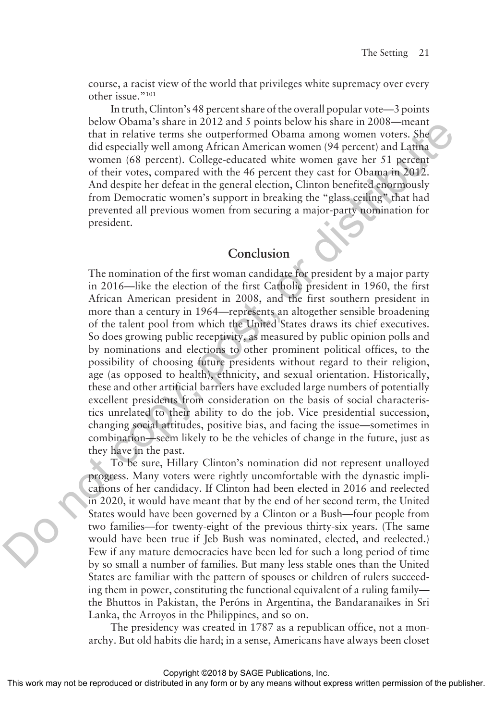course, a racist view of the world that privileges white supremacy over every other issue."101

In truth, Clinton's 48 percent share of the overall popular vote—3 points below Obama's share in 2012 and 5 points below his share in 2008—meant that in relative terms she outperformed Obama among women voters. She did especially well among African American women (94 percent) and Latina women (68 percent). College-educated white women gave her 51 percent of their votes, compared with the 46 percent they cast for Obama in 2012. And despite her defeat in the general election, Clinton benefited enormously from Democratic women's support in breaking the "glass ceiling" that had prevented all previous women from securing a major-party nomination for president.

## **Conclusion**

The nomination of the first woman candidate for president by a major party in 2016—like the election of the first Catholic president in 1960, the first African American president in 2008, and the first southern president in more than a century in 1964—represents an altogether sensible broadening of the talent pool from which the United States draws its chief executives. So does growing public receptivity, as measured by public opinion polls and by nominations and elections to other prominent political offices, to the possibility of choosing future presidents without regard to their religion, age (as opposed to health), ethnicity, and sexual orientation. Historically, these and other artificial barriers have excluded large numbers of potentially excellent presidents from consideration on the basis of social characteristics unrelated to their ability to do the job. Vice presidential succession, changing social attitudes, positive bias, and facing the issue—sometimes in combination—seem likely to be the vehicles of change in the future, just as they have in the past. betwo vocalin so starte in 2012 and 3 points observed that in the district of the started distributed means the measure of the started means women (68 percent). College-educated white women gave her ST percent and Largent

To be sure, Hillary Clinton's nomination did not represent unalloyed progress. Many voters were rightly uncomfortable with the dynastic implications of her candidacy. If Clinton had been elected in 2016 and reelected in 2020, it would have meant that by the end of her second term, the United States would have been governed by a Clinton or a Bush—four people from two families—for twenty-eight of the previous thirty-six years. (The same would have been true if Jeb Bush was nominated, elected, and reelected.) Few if any mature democracies have been led for such a long period of time by so small a number of families. But many less stable ones than the United States are familiar with the pattern of spouses or children of rulers succeeding them in power, constituting the functional equivalent of a ruling family the Bhuttos in Pakistan, the Peróns in Argentina, the Bandaranaikes in Sri Lanka, the Arroyos in the Philippines, and so on.

The presidency was created in 1787 as a republican office, not a monarchy. But old habits die hard; in a sense, Americans have always been closet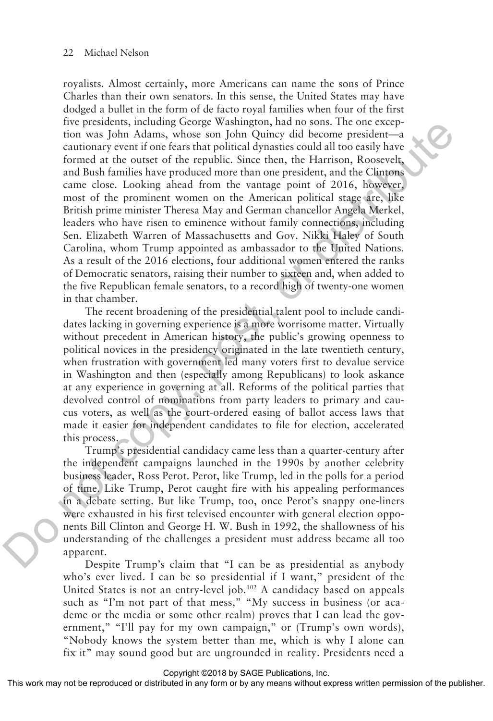royalists. Almost certainly, more Americans can name the sons of Prince Charles than their own senators. In this sense, the United States may have dodged a bullet in the form of de facto royal families when four of the first five presidents, including George Washington, had no sons. The one exception was John Adams, whose son John Quincy did become president—a cautionary event if one fears that political dynasties could all too easily have formed at the outset of the republic. Since then, the Harrison, Roosevelt, and Bush families have produced more than one president, and the Clintons came close. Looking ahead from the vantage point of 2016, however, most of the prominent women on the American political stage are, like British prime minister Theresa May and German chancellor Angela Merkel, leaders who have risen to eminence without family connections, including Sen. Elizabeth Warren of Massachusetts and Gov. Nikki Haley of South Carolina, whom Trump appointed as ambassador to the United Nations. As a result of the 2016 elections, four additional women entered the ranks of Democratic senators, raising their number to sixteen and, when added to the five Republican female senators, to a record high of twenty-one women in that chamber. Ive pressurent, microson of the measure was John Adams, whose son John Quiney did become president—<br>antionary coent from their Mindrid dynaties could all to o estily have formed at the other to the republic. Since then, th

The recent broadening of the presidential talent pool to include candidates lacking in governing experience is a more worrisome matter. Virtually without precedent in American history, the public's growing openness to political novices in the presidency originated in the late twentieth century, when frustration with government led many voters first to devalue service in Washington and then (especially among Republicans) to look askance at any experience in governing at all. Reforms of the political parties that devolved control of nominations from party leaders to primary and caucus voters, as well as the court-ordered easing of ballot access laws that made it easier for independent candidates to file for election, accelerated this process.

Trump's presidential candidacy came less than a quarter-century after the independent campaigns launched in the 1990s by another celebrity business leader, Ross Perot. Perot, like Trump, led in the polls for a period of time. Like Trump, Perot caught fire with his appealing performances in a debate setting. But like Trump, too, once Perot's snappy one-liners were exhausted in his first televised encounter with general election opponents Bill Clinton and George H. W. Bush in 1992, the shallowness of his understanding of the challenges a president must address became all too apparent.

Despite Trump's claim that "I can be as presidential as anybody who's ever lived. I can be so presidential if I want," president of the United States is not an entry-level job.<sup>102</sup> A candidacy based on appeals such as "I'm not part of that mess," "My success in business (or academe or the media or some other realm) proves that I can lead the government," "I'll pay for my own campaign," or (Trump's own words), "Nobody knows the system better than me, which is why I alone can fix it" may sound good but are ungrounded in reality. Presidents need a

Copyright ©2018 by SAGE Publications, Inc.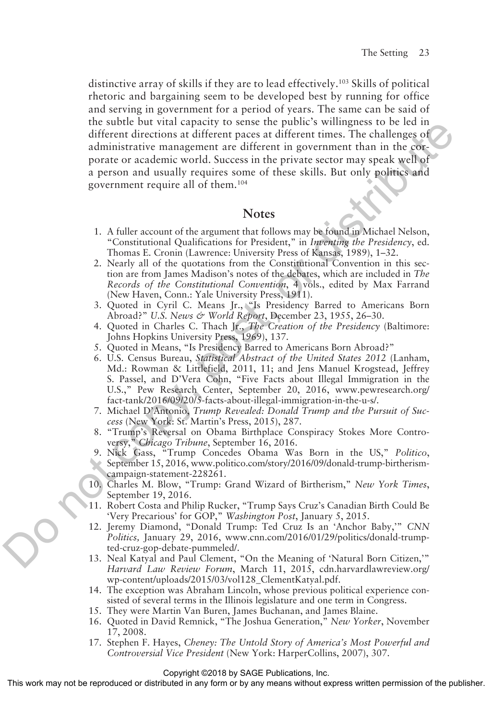distinctive array of skills if they are to lead effectively.103 Skills of political rhetoric and bargaining seem to be developed best by running for office and serving in government for a period of years. The same can be said of the subtle but vital capacity to sense the public's willingness to be led in different directions at different paces at different times. The challenges of administrative management are different in government than in the corporate or academic world. Success in the private sector may speak well of a person and usually requires some of these skills. But only politics and government require all of them.104 In essay to the state particle and the particle in the solution of the mass is the particle material in the solution of the state of the state of the state of the state of points. The challenges of a person and usually re

### **Notes**

- 1. A fuller account of the argument that follows may be found in Michael Nelson, "Constitutional Qualifications for President," in *Inventing the Presidency*, ed. Thomas E. Cronin (Lawrence: University Press of Kansas, 1989), 1–32.
- 2. Nearly all of the quotations from the Constitutional Convention in this section are from James Madison's notes of the debates, which are included in *The Records of the Constitutional Convention*, 4 vols., edited by Max Farrand (New Haven, Conn.: Yale University Press, 1911).
- 3. Quoted in Cyril C. Means Jr., "Is Presidency Barred to Americans Born Abroad?" *U.S. News & World Report*, December 23, 1955, 26–30.
- 4. Quoted in Charles C. Thach Jr., *The Creation of the Presidency* (Baltimore: Johns Hopkins University Press, 1969), 137.
- 5. Quoted in Means, "Is Presidency Barred to Americans Born Abroad?"
- 6. U.S. Census Bureau, *Statistical Abstract of the United States 2012* (Lanham, Md.: Rowman & Littlefield, 2011, 11; and Jens Manuel Krogstead, Jeffrey S. Passel, and D'Vera Cohn, "Five Facts about Illegal Immigration in the U.S.," Pew Research Center, September 20, 2016, www.pewresearch.org/ fact-tank/2016/09/20/5-facts-about-illegal-immigration-in-the-u-s/.
- 7. Michael D'Antonio, *Trump Revealed: Donald Trump and the Pursuit of Success* (New York: St. Martin's Press, 2015), 287.
- 8. "Trump's Reversal on Obama Birthplace Conspiracy Stokes More Controversy," *Chicago Tribune*, September 16, 2016.
- 9. Nick Gass, "Trump Concedes Obama Was Born in the US," *Politico*, September 15, 2016, www.politico.com/story/2016/09/donald-trump-birtherismcampaign-statement-228261.
- 10. Charles M. Blow, "Trump: Grand Wizard of Birtherism," *New York Times*, September 19, 2016.
- 11. Robert Costa and Philip Rucker, "Trump Says Cruz's Canadian Birth Could Be 'Very Precarious' for GOP," *Washington Post*, January 5, 2015.
- 12. Jeremy Diamond, "Donald Trump: Ted Cruz Is an 'Anchor Baby,'" *CNN Politics,* January 29, 2016, www.cnn.com/2016/01/29/politics/donald-trumpted-cruz-gop-debate-pummeled/.
- 13. Neal Katyal and Paul Clement, "On the Meaning of 'Natural Born Citizen,'" *Harvard Law Review Forum*, March 11, 2015, cdn.harvardlawreview.org/ wp-content/uploads/2015/03/vol128\_ClementKatyal.pdf.
- 14. The exception was Abraham Lincoln, whose previous political experience consisted of several terms in the Illinois legislature and one term in Congress.
- 15. They were Martin Van Buren, James Buchanan, and James Blaine.
- 16. Quoted in David Remnick, "The Joshua Generation," *New Yorker*, November 17, 2008.
- 17. Stephen F. Hayes, *Cheney: The Untold Story of America's Most Powerful and Controversial Vice President* (New York: HarperCollins, 2007), 307.

Copyright ©2018 by SAGE Publications, Inc.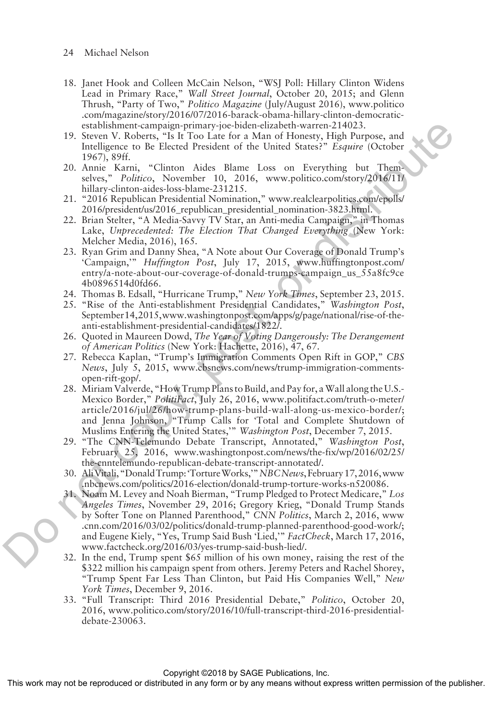- 24 Michael Nelson
- 18. Janet Hook and Colleen McCain Nelson, "WSJ Poll: Hillary Clinton Widens Lead in Primary Race," *Wall Street Journal*, October 20, 2015; and Glenn Thrush, "Party of Two," *Politico Magazine* (July/August 2016), www.politico .com/magazine/story/2016/07/2016-barack-obama-hillary-clinton-democraticestablishment-campaign-primary-joe-biden-elizabeth-warren-214023.
- 19. Steven V. Roberts, "Is It Too Late for a Man of Honesty, High Purpose, and Intelligence to Be Elected President of the United States?" *Esquire* (October 1967), 89ff.
- 20. Annie Karni, "Clinton Aides Blame Loss on Everything but Themselves," *Politico*, November 10, 2016, www.politico.com/story/2016/11/ hillary-clinton-aides-loss-blame-231215.
- 21. "2016 Republican Presidential Nomination," www.realclearpolitics.com/epolls/ 2016/president/us/2016\_republican\_presidential\_nomination-3823.html.
- 22. Brian Stelter, "A Media-Savvy TV Star, an Anti-media Campaign," in Thomas Lake, *Unprecedented: The Election That Changed Everything* (New York: Melcher Media, 2016), 165.
- 23. Ryan Grim and Danny Shea, "A Note about Our Coverage of Donald Trump's 'Campaign,'" *Huffington Post*, July 17, 2015, www.huffingtonpost.com/ entry/a-note-about-our-coverage-of-donald-trumps-campaign\_us\_55a8fc9ce 4b0896514d0fd66.
- 24. Thomas B. Edsall, "Hurricane Trump," *New York Times*, September 23, 2015.
- 25. "Rise of the Anti-establishment Presidential Candidates," *Washington Post*, September 14, 2015, www.washingtonpost.com/apps/g/page/national/rise-of-theanti-establishment-presidential-candidates/1822/.
- 26. Quoted in Maureen Dowd, *The Year of Voting Dangerously: The Derangement of American Politics* (New York: Hachette, 2016), 47, 67.
- 27. Rebecca Kaplan, "Trump's Immigration Comments Open Rift in GOP," *CBS News*, July 5, 2015, www.cbsnews.com/news/trump-immigration-commentsopen-rift-gop/.
- 28. Miriam Valverde, "How Trump Plans to Build, and Pay for, a Wall along the U.S.- Mexico Border," *PolitiFact*, July 26, 2016, www.politifact.com/truth-o-meter/ article/2016/jul/26/how-trump-plans-build-wall-along-us-mexico-border/; and Jenna Johnson, "Trump Calls for 'Total and Complete Shutdown of Muslims Entering the United States,'" *Washington Post*, December 7, 2015.
- 29. "The CNN-Telemundo Debate Transcript, Annotated," *Washington Post*, February 25, 2016, www.washingtonpost.com/news/the-fix/wp/2016/02/25/ the-cnntelemundo-republican-debate-transcript-annotated/.
- 30. Ali Vitali, "Donald Trump: 'Torture Works,'" *NBC News*, February 17, 2016, www .nbcnews.com/politics/2016-election/donald-trump-torture-works-n520086.
- 31. Noam M. Levey and Noah Bierman, "Trump Pledged to Protect Medicare," *Los Angeles Times*, November 29, 2016; Gregory Krieg, "Donald Trump Stands by Softer Tone on Planned Parenthood," *CNN Politics*, March 2, 2016, www .cnn.com/2016/03/02/politics/donald-trump-planned-parenthood-good-work/; and Eugene Kiely, "Yes, Trump Said Bush 'Lied,'" *FactCheck*, March 17, 2016, www.factcheck.org/2016/03/yes-trump-said-bush-lied/. scales and the methods of the the burde of the state of the state of the copyrigon of the burde of the content of the burde of the content of the state of the content of the state of the content of the state of the conten
	- 32. In the end, Trump spent \$65 million of his own money, raising the rest of the \$322 million his campaign spent from others. Jeremy Peters and Rachel Shorey, "Trump Spent Far Less Than Clinton, but Paid His Companies Well," *New York Times*, December 9, 2016.
	- 33. "Full Transcript: Third 2016 Presidential Debate," *Politico*, October 20, 2016, www.politico.com/story/2016/10/full-transcript-third-2016-presidentialdebate-230063.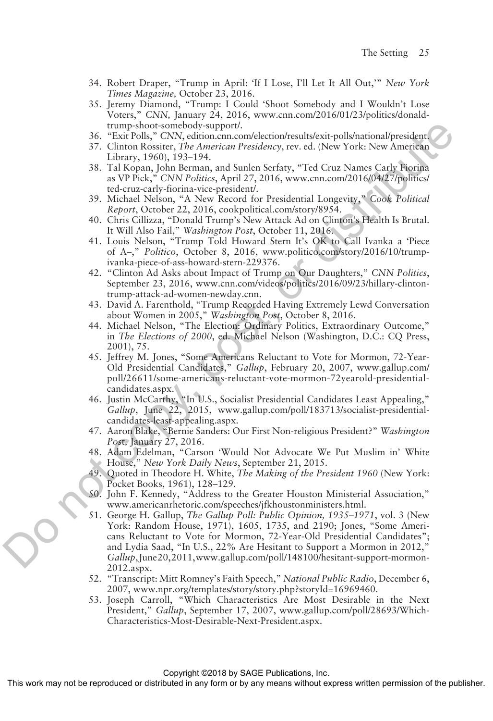- 34. Robert Draper, "Trump in April: 'If I Lose, I'll Let It All Out,'" *New York Times Magazine,* October 23, 2016.
- 35. Jeremy Diamond, "Trump: I Could 'Shoot Somebody and I Wouldn't Lose Voters," *CNN,* January 24, 2016, www.cnn.com/2016/01/23/politics/donaldtrump-shoot-somebody-support/.
- 36. "Exit Polls," *CNN*, edition.cnn.com/election/results/exit-polls/national/president.
- 37. Clinton Rossiter, *The American Presidency*, rev. ed. (New York: New American Library, 1960), 193–194.
- 38. Tal Kopan, John Berman, and Sunlen Serfaty, "Ted Cruz Names Carly Fiorina as VP Pick," *CNN Politics*, April 27, 2016, www.cnn.com/2016/04/27/politics/ ted-cruz-carly-fiorina-vice-president/.
- 39. Michael Nelson, "A New Record for Presidential Longevity," *Cook Political Report*, October 22, 2016, cookpolitical.com/story/8954.
- 40. Chris Cillizza, "Donald Trump's New Attack Ad on Clinton's Health Is Brutal. It Will Also Fail," *Washington Post*, October 11, 2016.
- 41. Louis Nelson, "Trump Told Howard Stern It's OK to Call Ivanka a 'Piece of A–," *Politico*, October 8, 2016, www.politico.com/story/2016/10/trumpivanka-piece-of-ass-howard-stern-229376.
- 42. "Clinton Ad Asks about Impact of Trump on Our Daughters," *CNN Politics*, September 23, 2016, www.cnn.com/videos/politics/2016/09/23/hillary-clintontrump-attack-ad-women-newday.cnn.
- 43. David A. Farenthold, "Trump Recorded Having Extremely Lewd Conversation about Women in 2005," *Washington Post*, October 8, 2016.
- 44. Michael Nelson, "The Election: Ordinary Politics, Extraordinary Outcome," in *The Elections of 2000*, ed. Michael Nelson (Washington, D.C.: CQ Press, 2001), 75.
- 45. Jeffrey M. Jones, "Some Americans Reluctant to Vote for Mormon, 72-Year-Old Presidential Candidates," *Gallup*, February 20, 2007, www.gallup.com/ poll/26611/some-americans-reluctant-vote-mormon-72yearold-presidentialcandidates.aspx.
- 46. Justin McCarthy, "In U.S., Socialist Presidential Candidates Least Appealing," *Gallup*, June 22, 2015, www.gallup.com/poll/183713/socialist-presidentialcandidates-least-appealing.aspx.
- 47. Aaron Blake, "Bernie Sanders: Our First Non-religious President?" *Washington Pos*t*,* January 27, 2016.
- 48. Adam Edelman, "Carson 'Would Not Advocate We Put Muslim in' White House," *New York Daily News*, September 21, 2015.
- 49. Quoted in Theodore H. White, *The Making of the President 1960* (New York: Pocket Books, 1961), 128–129.
- 50. John F. Kennedy, "Address to the Greater Houston Ministerial Association," www.americanrhetoric.com/speeches/jfkhoustonministers.html.
- 51. George H. Gallup, *The Gallup Poll: Public Opinion, 1935–1971*, vol. 3 (New York: Random House, 1971), 1605, 1735, and 2190; Jones, "Some Americans Reluctant to Vote for Mormon, 72-Year-Old Presidential Candidates"; and Lydia Saad, "In U.S., 22% Are Hesitant to Support a Mormon in 2012, *Gallup*, June 20, 2011, www.gallup.com/poll/148100/hesitant-support-mormon-2012.aspx. train-solution by the matrix of the matrix of the matrix of the matrix of the matrix or distribute  $35$ . Chinnen bosted in the matrix of the matrix of the matrix of the matrix of the matrix of the matrix of the matrix of
	- 52. "Transcript: Mitt Romney's Faith Speech," *National Public Radio*, December 6, 2007, www.npr.org/templates/story/story.php?storyId=16969460.
	- 53. Joseph Carroll, "Which Characteristics Are Most Desirable in the Next President," *Gallup*, September 17, 2007, www.gallup.com/poll/28693/Which-Characteristics-Most-Desirable-Next-President.aspx.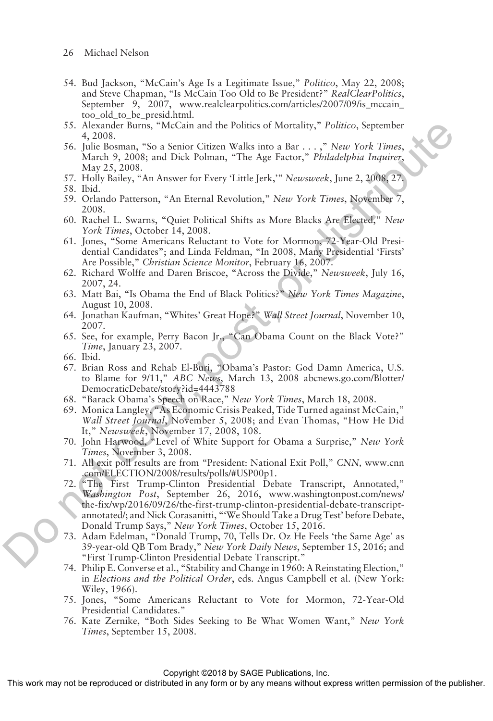- 26 Michael Nelson
- 54. Bud Jackson, "McCain's Age Is a Legitimate Issue," *Politico*, May 22, 2008; and Steve Chapman, "Is McCain Too Old to Be President?" *RealClearPolitics*, September 9, 2007, www.realclearpolitics.com/articles/2007/09/is\_mccain\_ too old to be presid.html.
- 55. Alexander Burns, "McCain and the Politics of Mortality," *Politico*, September 4, 2008.
- 56. Julie Bosman, "So a Senior Citizen Walks into a Bar . . . ," *New York Times*, March 9, 2008; and Dick Polman, "The Age Factor," *Philadelphia Inquirer*, May 25, 2008.
- 57. Holly Bailey, "An Answer for Every 'Little Jerk,'" *Newsweek*, June 2, 2008, 27.
- 58. Ibid.
- 59. Orlando Patterson, "An Eternal Revolution," *New York Times*, November 7, 2008.
- 60. Rachel L. Swarns, "Quiet Political Shifts as More Blacks Are Elected," *New York Times*, October 14, 2008.
- 61. Jones, "Some Americans Reluctant to Vote for Mormon, 72-Year-Old Presidential Candidates"; and Linda Feldman, "In 2008, Many Presidential 'Firsts' Are Possible," *Christian Science Monitor*, February 16, 2007.
- 62. Richard Wolffe and Daren Briscoe, "Across the Divide," *Newsweek*, July 16, 2007, 24.
- 63. Matt Bai, "Is Obama the End of Black Politics?" *New York Times Magazine*, August 10, 2008.
- 64. Jonathan Kaufman, "Whites' Great Hope?" *Wall Street Journal*, November 10, 2007.
- 65. See, for example, Perry Bacon Jr., "Can Obama Count on the Black Vote?" *Time*, January 23, 2007.
- 66. Ibid.
- 67. Brian Ross and Rehab El-Buri, "Obama's Pastor: God Damn America, U.S. to Blame for 9/11," *ABC News*, March 13, 2008 abcnews.go.com/Blotter/ DemocraticDebate/story?id=4443788
- 68. "Barack Obama's Speech on Race," *New York Times*, March 18, 2008.
- 69. Monica Langley, "As Economic Crisis Peaked, Tide Turned against McCain," *Wall Street Journal*, November 5, 2008; and Evan Thomas, "How He Did It," *Newsweek*, November 17, 2008, 108.
- 70. John Harwood, "Level of White Support for Obama a Surprise," *New York Times*, November 3, 2008.
- 71. All exit poll results are from "President: National Exit Poll," *CNN,* www.cnn .com/ELECTION/2008/results/polls/#USP00p1.
- 72. "The First Trump-Clinton Presidential Debate Transcript, Annotated," *Washington Post*, September 26, 2016, www.washingtonpost.com/news/ the-fix/wp/2016/09/26/the-first-trump-clinton-presidential-debate-transcriptannotated/; and Nick Corasanitti, "'We Should Take a Drug Test' before Debate, Donald Trump Says," *New York Times*, October 15, 2016. 55. Alexander Burns, "McCain and the Politics of Mortality," Politics, september<br>
56. Julie Rosman, "So a stenior Griten Walks into a Bar- $\epsilon_1$ .", "New York Finnes, Nam (1981) and  $\epsilon_2$ . The Work Finnes,  $\Delta$  10. The Di
	- 73. Adam Edelman, "Donald Trump, 70, Tells Dr. Oz He Feels 'the Same Age' as 39-year-old QB Tom Brady," *New York Daily News*, September 15, 2016; and "First Trump-Clinton Presidential Debate Transcript."
	- 74. Philip E. Converse et al., "Stability and Change in 1960: A Reinstating Election," in *Elections and the Political Order*, eds. Angus Campbell et al. (New York: Wiley, 1966).
	- 75. Jones, "Some Americans Reluctant to Vote for Mormon, 72-Year-Old Presidential Candidates."
	- 76. Kate Zernike, "Both Sides Seeking to Be What Women Want," *New York Times*, September 15, 2008.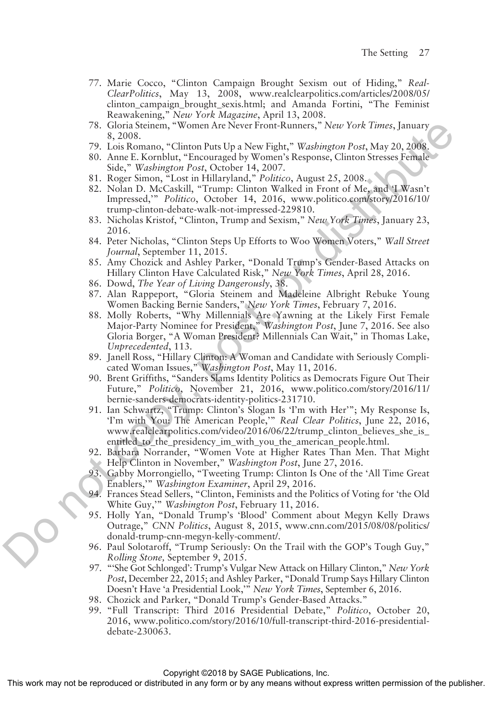- 77. Marie Cocco, "Clinton Campaign Brought Sexism out of Hiding," *Real-ClearPolitics*, May 13, 2008, www.realclearpolitics.com/articles/2008/05/ clinton\_campaign\_brought\_sexis.html; and Amanda Fortini, "The Feminist Reawakening," *New York Magazine*, April 13, 2008.
- 78. Gloria Steinem, "Women Are Never Front-Runners," *New York Times*, January 8, 2008.
- 79. Lois Romano, "Clinton Puts Up a New Fight," *Washington Post*, May 20, 2008.
- 80. Anne E. Kornblut, "Encouraged by Women's Response, Clinton Stresses Female Side," *Washington Post*, October 14, 2007.
- 81. Roger Simon, "Lost in Hillaryland," *Politico*, August 25, 2008.
- 82. Nolan D. McCaskill, "Trump: Clinton Walked in Front of Me, and 'I Wasn't Impressed,'" *Politico*, October 14, 2016, www.politico.com/story/2016/10/ trump-clinton-debate-walk-not-impressed-229810.
- 83. Nicholas Kristof, "Clinton, Trump and Sexism," *New York Times*, January 23, 2016.
- 84. Peter Nicholas, "Clinton Steps Up Efforts to Woo Women Voters," *Wall Street Journal*, September 11, 2015.
- 85. Amy Chozick and Ashley Parker, "Donald Trump's Gender-Based Attacks on Hillary Clinton Have Calculated Risk," *New York Times*, April 28, 2016.
- 86. Dowd, *The Year of Living Dangerously*, 38.
- 87. Alan Rappeport, "Gloria Steinem and Madeleine Albright Rebuke Young Women Backing Bernie Sanders," *New York Times*, February 7, 2016.
- 88. Molly Roberts, "Why Millennials Are Yawning at the Likely First Female Major-Party Nominee for President," *Washington Post*, June 7, 2016. See also Gloria Borger, "A Woman President? Millennials Can Wait," in Thomas Lake, *Unprecedented*, 113. 78. Gloria Steinen, "Women Are New Friendt-Rumens," New York Times, January<br>
79. Units Romano, "Chinen Parts Up a New Fight," Washington Post, May 20, 2006,<br>
80. State: "Washington Parts, Ocealest 14, 2007", Kesponse, Chi
	- 89. Janell Ross, "Hillary Clinton: A Woman and Candidate with Seriously Complicated Woman Issues," *Washington Post*, May 11, 2016.
	- 90. Brent Griffiths, "Sanders Slams Identity Politics as Democrats Figure Out Their Future," *Politico*, November 21, 2016, www.politico.com/story/2016/11/ bernie-sanders-democrats-identity-politics-231710.
	- 91. Ian Schwartz, "Trump: Clinton's Slogan Is 'I'm with Her'"; My Response Is, 'I'm with You: The American People,'" *Real Clear Politics*, June 22, 2016, www.realclearpolitics.com/video/2016/06/22/trump\_clinton\_believes\_she\_is\_ entitled\_to\_the\_presidency\_im\_with\_you\_the\_american\_people.html.
	- 92. Barbara Norrander, "Women Vote at Higher Rates Than Men. That Might Help Clinton in November," *Washington Post*, June 27, 2016.
	- 93. Gabby Morrongiello, "Tweeting Trump: Clinton Is One of the 'All Time Great Enablers,'" *Washington Examiner*, April 29, 2016.
	- 94. Frances Stead Sellers, "Clinton, Feminists and the Politics of Voting for 'the Old White Guy,'" *Washington Post*, February 11, 2016.
	- 95. Holly Yan, "Donald Trump's 'Blood' Comment about Megyn Kelly Draws Outrage," *CNN Politics*, August 8, 2015, www.cnn.com/2015/08/08/politics/ donald-trump-cnn-megyn-kelly-comment/.
	- 96. Paul Solotaroff, "Trump Seriously: On the Trail with the GOP's Tough Guy," *Rolling Stone,* September 9, 2015.
	- 97. "'She Got Schlonged': Trump's Vulgar New Attack on Hillary Clinton," *New York Post*, December 22, 2015; and Ashley Parker, "Donald Trump Says Hillary Clinton Doesn't Have 'a Presidential Look,'" *New York Times*, September 6, 2016.
	- 98. Chozick and Parker, "Donald Trump's Gender-Based Attacks."
	- 99. "Full Transcript: Third 2016 Presidential Debate," *Politico*, October 20, 2016, www.politico.com/story/2016/10/full-transcript-third-2016-presidentialdebate-230063.